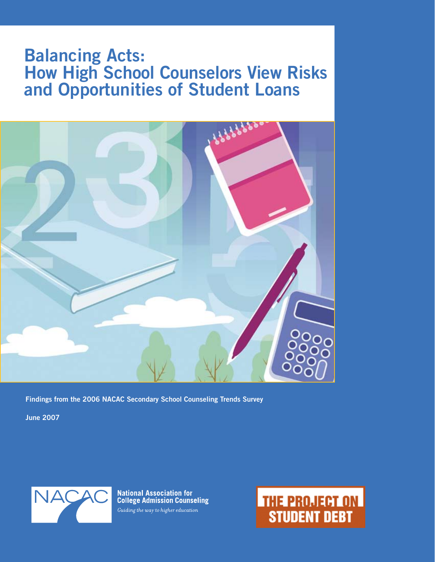### **Balancing Acts: How High School Counselors View Risks and Opportunities of Student Loans**



**Findings from the 2006 NACAC Secondary School Counseling Trends Survey**

**June 2007**



**National Association for<br>College Admission Counseling** Guiding the way to higher education

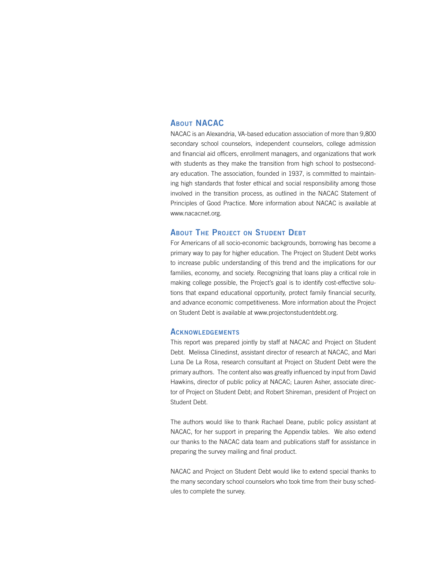### **About NACAC**

NACAC is an Alexandria, VA-based education association of more than 9,800 secondary school counselors, independent counselors, college admission and financial aid officers, enrollment managers, and organizations that work with students as they make the transition from high school to postsecondary education. The association, founded in 1937, is committed to maintaining high standards that foster ethical and social responsibility among those involved in the transition process, as outlined in the NACAC Statement of Principles of Good Practice. More information about NACAC is available at www.nacacnet.org.

#### **About The Project on Student Debt**

For Americans of all socio-economic backgrounds, borrowing has become a primary way to pay for higher education. The Project on Student Debt works to increase public understanding of this trend and the implications for our families, economy, and society. Recognizing that loans play a critical role in making college possible, the Project's goal is to identify cost-effective solutions that expand educational opportunity, protect family financial security, and advance economic competitiveness. More information about the Project on Student Debt is available at www.projectonstudentdebt.org.

#### **Acknowledgements**

This report was prepared jointly by staff at NACAC and Project on Student Debt. Melissa Clinedinst, assistant director of research at NACAC, and Mari Luna De La Rosa, research consultant at Project on Student Debt were the primary authors. The content also was greatly influenced by input from David Hawkins, director of public policy at NACAC; Lauren Asher, associate director of Project on Student Debt; and Robert Shireman, president of Project on Student Debt.

The authors would like to thank Rachael Deane, public policy assistant at NACAC, for her support in preparing the Appendix tables. We also extend our thanks to the NACAC data team and publications staff for assistance in preparing the survey mailing and final product.

NACAC and Project on Student Debt would like to extend special thanks to the many secondary school counselors who took time from their busy schedules to complete the survey.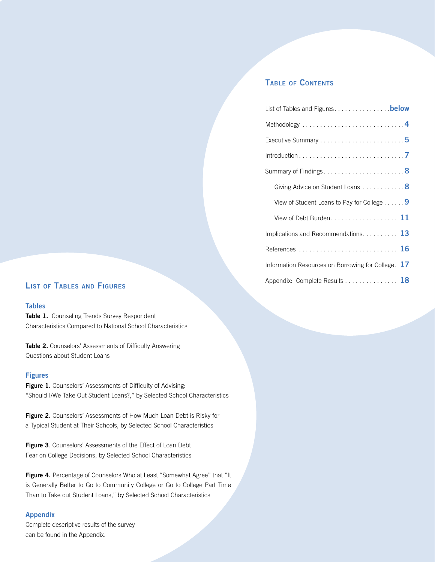### **Balancing Acts Table of Contents**

| Summary of Findings8                               |
|----------------------------------------------------|
| Giving Advice on Student Loans 8                   |
| View of Student Loans to Pay for College 9         |
| View of Debt Burden 11                             |
| Implications and Recommendations. 13               |
| References  16                                     |
| Information Resources on Borrowing for College. 17 |
| Appendix: Complete Results 18                      |

### Appendix: Complete Results . . **<sup>18</sup> List of Tables and Figures**

### **Tables**

Table 1. Counseling Trends Survey Respondent Characteristics Compared to National School Characteristics

**Table 2.** Counselors' Assessments of Difficulty Answering Questions about Student Loans

### **Figures**

Figure 1. Counselors' Assessments of Difficulty of Advising: "Should I/We Take Out Student Loans?," by Selected School Characteristics

**Figure 2.** Counselors' Assessments of How Much Loan Debt is Risky for a Typical Student at Their Schools, by Selected School Characteristics

**Figure 3**. Counselors' Assessments of the Effect of Loan Debt Fear on College Decisions, by Selected School Characteristics

Figure 4. Percentage of Counselors Who at Least "Somewhat Agree" that "It is Generally Better to Go to Community College or Go to College Part Time Than to Take out Student Loans," by Selected School Characteristics

### **Appendix**

Complete descriptive results of the survey can be found in the Appendix.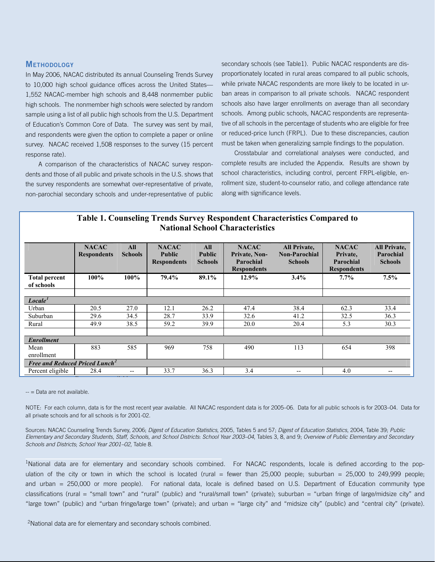### **Methodology**

In May 2006, NACAC distributed its annual Counseling Trends Survey to 10,000 high school guidance offices across the United States— 1,552 NACAC-member high schools and 8,448 nonmember public high schools. The nonmember high schools were selected by random sample using a list of all public high schools from the U.S. Department of Education's Common Core of Data. The survey was sent by mail, and respondents were given the option to complete a paper or online survey. NACAC received 1,508 responses to the survey (15 percent response rate).

A comparison of the characteristics of NACAC survey respondents and those of all public and private schools in the U.S. shows that the survey respondents are somewhat over-representative of private, non-parochial secondary schools and under-representative of public

**Balancing Acts** while private NACAC respondents are more likely to be located in ursecondary schools (see Table1). Public NACAC respondents are disproportionately located in rural areas compared to all public schools, ban areas in comparison to all private schools. NACAC respondent schools also have larger enrollments on average than all secondary schools. Among public schools, NACAC respondents are representative of all schools in the percentage of students who are eligible for free or reduced-price lunch (FRPL). Due to these discrepancies, caution must be taken when generalizing sample findings to the population.

Crosstabular and correlational analyses were conducted, and complete results are included the Appendix. Results are shown by school characteristics, including control, percent FRPL-eligible, enrollment size, student-to-counselor ratio, and college attendance rate along with significance levels.

| <b>Table 1. Counseling Trends Survey Respondent Characteristics Compared to</b> |
|---------------------------------------------------------------------------------|
| <b>National School Characteristics</b>                                          |

|                                            | <b>NACAC</b><br><b>Respondents</b> | All<br><b>Schools</b> | <b>NACAC</b><br><b>Public</b><br><b>Respondents</b> | All<br><b>Public</b><br><b>Schools</b> | <b>NACAC</b><br>Private, Non-<br>Parochial<br><b>Respondents</b> | <b>All Private,</b><br><b>Non-Parochial</b><br><b>Schools</b> | <b>NACAC</b><br>Private.<br>Parochial<br><b>Respondents</b> | <b>All Private,</b><br>Parochial<br><b>Schools</b> |
|--------------------------------------------|------------------------------------|-----------------------|-----------------------------------------------------|----------------------------------------|------------------------------------------------------------------|---------------------------------------------------------------|-------------------------------------------------------------|----------------------------------------------------|
| <b>Total percent</b><br>of schools         | $100\%$                            | 100%                  | 79.4%                                               | 89.1%                                  | 12.9%                                                            | 3.4%                                                          | 7.7%                                                        | 7.5%                                               |
| Locale <sup>T</sup>                        |                                    |                       |                                                     |                                        |                                                                  |                                                               |                                                             |                                                    |
| Urban                                      | 20.5                               | 27.0                  | 12.1                                                | 26.2                                   | 47.4                                                             | 38.4                                                          | 62.3                                                        | 33.4                                               |
| Suburban                                   | 29.6                               | 34.5                  | 28.7                                                | 33.9                                   | 32.6                                                             | 41.2                                                          | 32.5                                                        | 36.3                                               |
| Rural                                      | 49.9                               | 38.5                  | 59.2                                                | 39.9                                   | 20.0                                                             | 20.4                                                          | 5.3                                                         | 30.3                                               |
| <b>Enrollment</b>                          |                                    |                       |                                                     |                                        |                                                                  |                                                               |                                                             |                                                    |
| Mean<br>enrollment                         | 883                                | 585                   | 969                                                 | 758                                    | 490                                                              | 113                                                           | 654                                                         | 398                                                |
| Free and Reduced Priced Lunch <sup>2</sup> |                                    |                       |                                                     |                                        |                                                                  |                                                               |                                                             |                                                    |
| Percent eligible                           | 28.4                               | $- -$                 | 33.7                                                | 36.3                                   | 3.4                                                              | $-$                                                           | 4.0                                                         | $\hspace{0.05cm}$ – $\hspace{0.05cm}$              |

 $\mathsf{A}\mathsf{a}$  available. All  $\mathsf{A}\mathsf{a}$  recent  $\mathsf{A}\mathsf{a}$  respondent data is for  $200$  respondent data is for  $200$ -- = Data are not available.

all private schools and for all schools is for 2001-02. **Digest of** *Digest of Counseling* Survey, Tables 5 and 57; *Digest of Digest* of *Digest* of *Digest* of *Digest* of *Digest* of *Digest* of *Digest* of *Digest* o NOTE: For each column, data is for the most recent year available. All NACAC respondent data is for 2005–06. Data for all public schools is for 2003–04. Data for

Sources: NACAC Counseling Trends Survey, 2006; Digest of Education Statistics, 2005, Tables 5 and 57; Digest of Education Statistics, 2004, Table 39; Public *School Year 2003-04*, Tables 3, 8, and 9; *Overview of Public Elementary and Secondary Schools and Districts: School Schools and Districts*; *School Year 2001–02*, Table 8. *Elementary and Secondary Students, Staff, Schools, and School Districts*: *School Year 2003–04*, Tables 3, 8, and 9; *Overview of Public Elementary and Secondary* 

<sup>1</sup>National data are for elementary and secondary schools combined. For NACAC respondents, locale is defined according to the population of the city or town in which the school is located (rural = fewer than  $25,000$  people; suburban =  $25,000$  to  $249,999$  people; and urban = 250,000 or more people). For national data, locale is defined based on U.S. Department of Education community type classifications (rural = "small town" and "rural" (public) and "rural/small town" (private); suburban = "urban fringe of large/midsize city" and "large town" (public) and "urban fringe/large town" (private); and urban = "large city" and "midsize city" (public) and "central city" (private).

<sup>2</sup>National data are for elementary and secondary schools combined.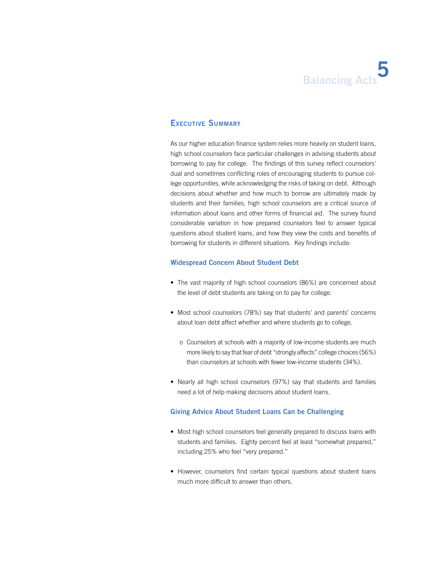### **Executive Summary**

As our higher education finance system relies more heavily on student loans, high school counselors face particular challenges in advising students about borrowing to pay for college. The findings of this survey reflect counselors' dual and sometimes conflicting roles of encouraging students to pursue college opportunities, while acknowledging the risks of taking on debt. Although decisions about whether and how much to borrow are ultimately made by students and their families, high school counselors are a critical source of information about loans and other forms of financial aid. The survey found considerable variation in how prepared counselors feel to answer typical questions about student loans, and how they view the costs and benefits of borrowing for students in different situations. Key findings include:

#### **Widespread Concern About Student Debt**

- The vast majority of high school counselors (86%) are concerned about the level of debt students are taking on to pay for college.
- Most school counselors (78%) say that students' and parents' concerns about loan debt affect whether and where students go to college.
	- o Counselors at schools with a majority of low-income students are much more likely to say that fear of debt "strongly affects" college choices (56%) than counselors at schools with fewer low-income students (34%).
- Nearly all high school counselors (97%) say that students and families need a lot of help making decisions about student loans.

#### **Giving Advice About Student Loans Can be Challenging**

- Most high school counselors feel generally prepared to discuss loans with students and families. Eighty percent feel at least "somewhat prepared," including 25% who feel "very prepared."
- However, counselors find certain typical questions about student loans much more difficult to answer than others.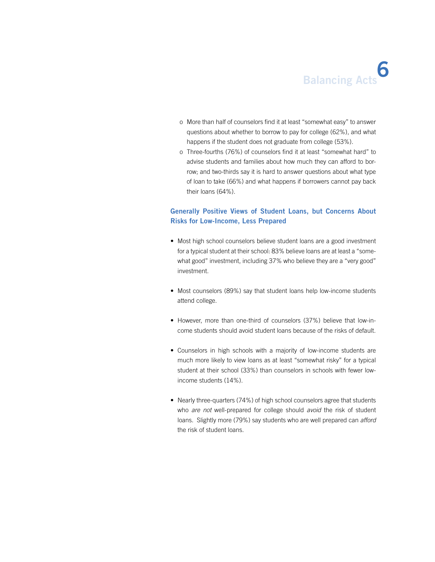- o More than half of counselors find it at least "somewhat easy" to answer questions about whether to borrow to pay for college (62%), and what happens if the student does not graduate from college (53%).
- o Three-fourths (76%) of counselors find it at least "somewhat hard" to advise students and families about how much they can afford to borrow; and two-thirds say it is hard to answer questions about what type of loan to take (66%) and what happens if borrowers cannot pay back their loans (64%).

### **Generally Positive Views of Student Loans, but Concerns About Risks for Low-Income, Less Prepared**

- Most high school counselors believe student loans are a good investment for a typical student at their school: 83% believe loans are at least a "somewhat good" investment, including 37% who believe they are a "very good" investment.
- Most counselors (89%) say that student loans help low-income students attend college.
- However, more than one-third of counselors (37%) believe that low-income students should avoid student loans because of the risks of default.
- Counselors in high schools with a majority of low-income students are much more likely to view loans as at least "somewhat risky" for a typical student at their school (33%) than counselors in schools with fewer lowincome students (14%).
- Nearly three-quarters (74%) of high school counselors agree that students who *are not* well-prepared for college should *avoid* the risk of student loans. Slightly more (79%) say students who are well prepared can *afford* the risk of student loans.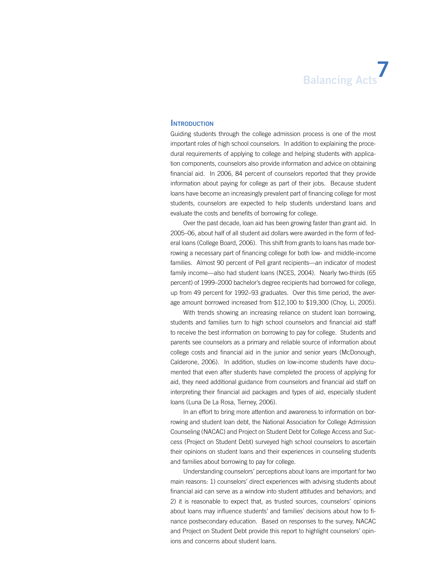#### **Introduction**

Guiding students through the college admission process is one of the most important roles of high school counselors. In addition to explaining the procedural requirements of applying to college and helping students with application components, counselors also provide information and advice on obtaining financial aid. In 2006, 84 percent of counselors reported that they provide information about paying for college as part of their jobs. Because student loans have become an increasingly prevalent part of financing college for most students, counselors are expected to help students understand loans and evaluate the costs and benefits of borrowing for college.

Over the past decade, loan aid has been growing faster than grant aid. In 2005–06, about half of all student aid dollars were awarded in the form of federal loans (College Board, 2006). This shift from grants to loans has made borrowing a necessary part of financing college for both low- and middle-income families. Almost 90 percent of Pell grant recipients—an indicator of modest family income—also had student loans (NCES, 2004). Nearly two-thirds (65 percent) of 1999–2000 bachelor's degree recipients had borrowed for college, up from 49 percent for 1992–93 graduates. Over this time period, the average amount borrowed increased from \$12,100 to \$19,300 (Choy, Li, 2005).

With trends showing an increasing reliance on student loan borrowing, students and families turn to high school counselors and financial aid staff to receive the best information on borrowing to pay for college. Students and parents see counselors as a primary and reliable source of information about college costs and financial aid in the junior and senior years (McDonough, Calderone, 2006). In addition, studies on low-income students have documented that even after students have completed the process of applying for aid, they need additional guidance from counselors and financial aid staff on interpreting their financial aid packages and types of aid, especially student loans (Luna De La Rosa, Tierney, 2006).

In an effort to bring more attention and awareness to information on borrowing and student loan debt, the National Association for College Admission Counseling (NACAC) and Project on Student Debt for College Access and Success (Project on Student Debt) surveyed high school counselors to ascertain their opinions on student loans and their experiences in counseling students and families about borrowing to pay for college.

Understanding counselors' perceptions about loans are important for two main reasons: 1) counselors' direct experiences with advising students about financial aid can serve as a window into student attitudes and behaviors; and 2) it is reasonable to expect that, as trusted sources, counselors' opinions about loans may influence students' and families' decisions about how to finance postsecondary education. Based on responses to the survey, NACAC and Project on Student Debt provide this report to highlight counselors' opinions and concerns about student loans.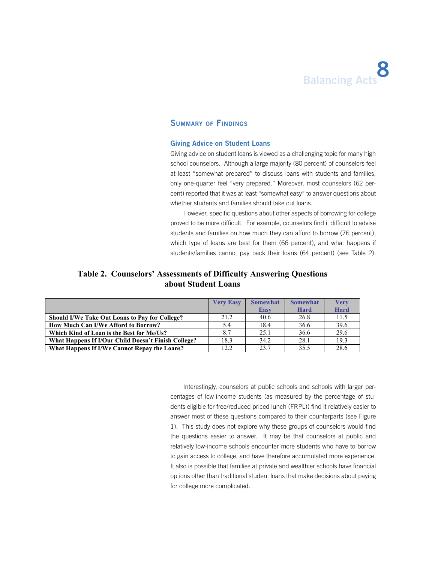

### **Summary of Findings**

#### **Giving Advice on Student Loans**

Giving advice on student loans is viewed as a challenging topic for many high school counselors. Although a large majority (80 percent) of counselors feel at least "somewhat prepared" to discuss loans with students and families, only one-quarter feel "very prepared." Moreover, most counselors (62 percent) reported that it was at least "somewhat easy" to answer questions about whether students and families should take out loans.

However, specific questions about other aspects of borrowing for college proved to be more difficult. For example, counselors find it difficult to advise students and families on how much they can afford to borrow (76 percent), which type of loans are best for them (66 percent), and what happens if students/families cannot pay back their loans (64 percent) (see Table 2).

### **Table 2. Counselors' Assessments of Difficulty Answering Questions about Student Loans**

|                                                       | <b>Very Easy</b> | <b>Somewhat</b> | <b>Somewhat</b> | <b>Very</b> |
|-------------------------------------------------------|------------------|-----------------|-----------------|-------------|
|                                                       |                  | <b>Easy</b>     | Hard            | <b>Hard</b> |
| <b>Should I/We Take Out Loans to Pay for College?</b> | 21.2             | 40.6            | 26.8            | 11.5        |
| <b>How Much Can I/We Afford to Borrow?</b>            | 5.4              | 18.4            | 36.6            | 39.6        |
| Which Kind of Loan is the Best for Me/Us?             | 8.7              | 25.1            | 36.6            | 29.6        |
| What Happens If I/Our Child Doesn't Finish College?   | 18.3             | 34.2            | 28.1            | 19.3        |
| What Happens If I/We Cannot Repay the Loans?          | 12.2             | 23.7            | 35.5            | 28.6        |

Interestingly, counselors at public schools and schools with larger percentages of low-income students (as measured by the percentage of students eligible for free/reduced priced lunch (FRPL)) find it relatively easier to answer most of these questions compared to their counterparts (see Figure 1). This study does not explore why these groups of counselors would find the questions easier to answer. It may be that counselors at public and relatively low-income schools encounter more students who have to borrow to gain access to college, and have therefore accumulated more experience. It also is possible that families at private and wealthier schools have financial options other than traditional student loans that make decisions about paying for college more complicated.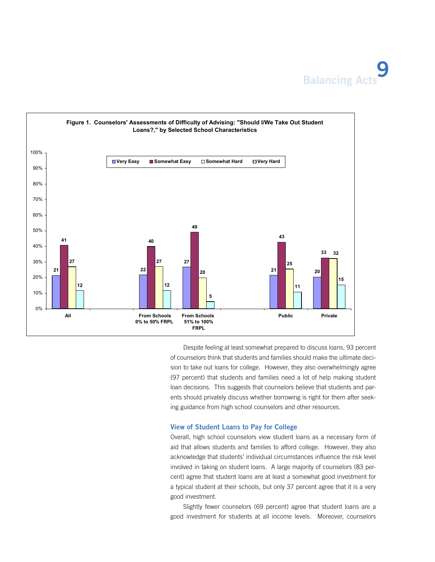



Despite feeling at least somewhat prepared to discuss loans, 93 percent of counselors think that students and families should make the ultimate decision to take out loans for college. However, they also overwhelmingly agree (97 percent) that students and families need a lot of help making student loan decisions. This suggests that counselors believe that students and parents should privately discuss whether borrowing is right for them after seeking guidance from high school counselors and other resources.

#### **View of Student Loans to Pay for College**

Overall, high school counselors view student loans as a necessary form of aid that allows students and families to afford college. However, they also acknowledge that students' individual circumstances influence the risk level involved in taking on student loans. A large majority of counselors (83 percent) agree that student loans are at least a somewhat good investment for a typical student at their schools, but only 37 percent agree that it is a very good investment.

Slightly fewer counselors (69 percent) agree that student loans are a good investment for students at all income levels. Moreover, counselors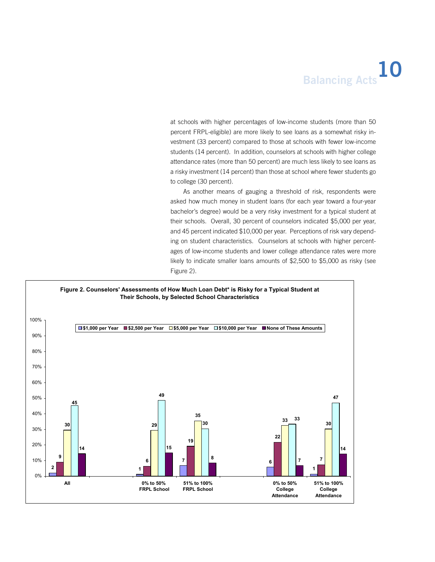at schools with higher percentages of low-income students (more than 50 percent FRPL-eligible) are more likely to see loans as a somewhat risky investment (33 percent) compared to those at schools with fewer low-income students (14 percent). In addition, counselors at schools with higher college attendance rates (more than 50 percent) are much less likely to see loans as a risky investment (14 percent) than those at school where fewer students go to college (30 percent).

As another means of gauging a threshold of risk, respondents were asked how much money in student loans (for each year toward a four-year bachelor's degree) would be a very risky investment for a typical student at their schools. Overall, 30 percent of counselors indicated \$5,000 per year, and 45 percent indicated \$10,000 per year. Perceptions of risk vary depending on student characteristics. Counselors at schools with higher percentages of low-income students and lower college attendance rates were more likely to indicate smaller loans amounts of \$2,500 to \$5,000 as risky (see Figure 2).

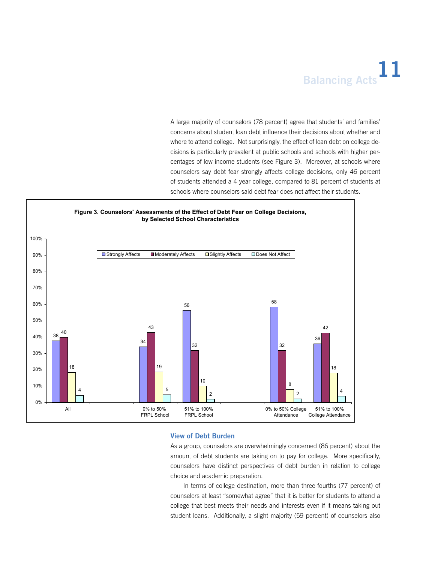## **Balancing Acts**<sup>11</sup>

A large majority of counselors (78 percent) agree that students' and families' concerns about student loan debt influence their decisions about whether and where to attend college. Not surprisingly, the effect of loan debt on college decisions is particularly prevalent at public schools and schools with higher percentages of low-income students (see Figure 3). Moreover, at schools where counselors say debt fear strongly affects college decisions, only 46 percent of students attended a 4-year college, compared to 81 percent of students at schools where counselors said debt fear does not affect their students.



#### **View of Debt Burden**

As a group, counselors are overwhelmingly concerned (86 percent) about the amount of debt students are taking on to pay for college. More specifically, counselors have distinct perspectives of debt burden in relation to college choice and academic preparation.

In terms of college destination, more than three-fourths (77 percent) of counselors at least "somewhat agree" that it is better for students to attend a college that best meets their needs and interests even if it means taking out student loans. Additionally, a slight majority (59 percent) of counselors also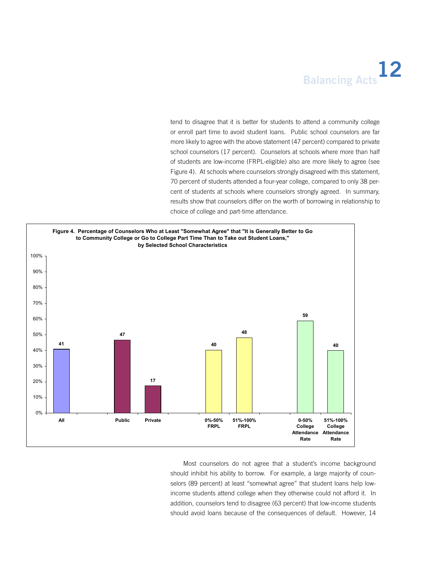## **Balancing Acts**<sup>12</sup>

tend to disagree that it is better for students to attend a community college or enroll part time to avoid student loans. Public school counselors are far more likely to agree with the above statement (47 percent) compared to private school counselors (17 percent). Counselors at schools where more than half of students are low-income (FRPL-eligible) also are more likely to agree (see Figure 4). At schools where counselors strongly disagreed with this statement, 70 percent of students attended a four-year college, compared to only 38 percent of students at schools where counselors strongly agreed. In summary, results show that counselors differ on the worth of borrowing in relationship to choice of college and part-time attendance.



Most counselors do not agree that a student's income background should inhibit his ability to borrow. For example, a large majority of counselors (89 percent) at least "somewhat agree" that student loans help lowincome students attend college when they otherwise could not afford it. In addition, counselors tend to disagree (63 percent) that low-income students should avoid loans because of the consequences of default. However, 14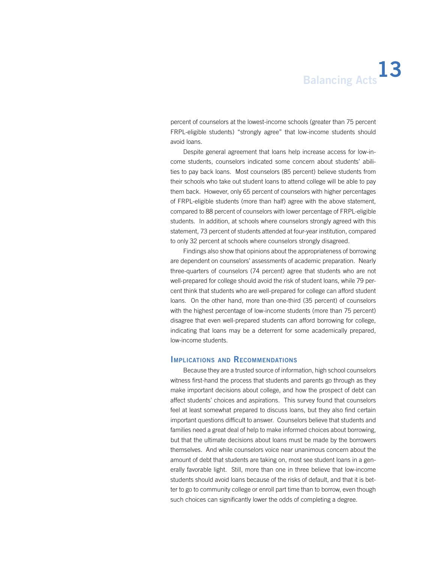percent of counselors at the lowest-income schools (greater than 75 percent FRPL-eligible students) "strongly agree" that low-income students should avoid loans.

Despite general agreement that loans help increase access for low-income students, counselors indicated some concern about students' abilities to pay back loans. Most counselors (85 percent) believe students from their schools who take out student loans to attend college will be able to pay them back. However, only 65 percent of counselors with higher percentages of FRPL-eligible students (more than half) agree with the above statement, compared to 88 percent of counselors with lower percentage of FRPL-eligible students. In addition, at schools where counselors strongly agreed with this statement, 73 percent of students attended at four-year institution, compared to only 32 percent at schools where counselors strongly disagreed.

Findings also show that opinions about the appropriateness of borrowing are dependent on counselors' assessments of academic preparation. Nearly three-quarters of counselors (74 percent) agree that students who are not well-prepared for college should avoid the risk of student loans, while 79 percent think that students who are well-prepared for college can afford student loans. On the other hand, more than one-third (35 percent) of counselors with the highest percentage of low-income students (more than 75 percent) disagree that even well-prepared students can afford borrowing for college, indicating that loans may be a deterrent for some academically prepared, low-income students.

#### **Implications and Recommendations**

Because they are a trusted source of information, high school counselors witness first-hand the process that students and parents go through as they make important decisions about college, and how the prospect of debt can affect students' choices and aspirations. This survey found that counselors feel at least somewhat prepared to discuss loans, but they also find certain important questions difficult to answer. Counselors believe that students and families need a great deal of help to make informed choices about borrowing, but that the ultimate decisions about loans must be made by the borrowers themselves. And while counselors voice near unanimous concern about the amount of debt that students are taking on, most see student loans in a generally favorable light. Still, more than one in three believe that low-income students should avoid loans because of the risks of default, and that it is better to go to community college or enroll part time than to borrow, even though such choices can significantly lower the odds of completing a degree.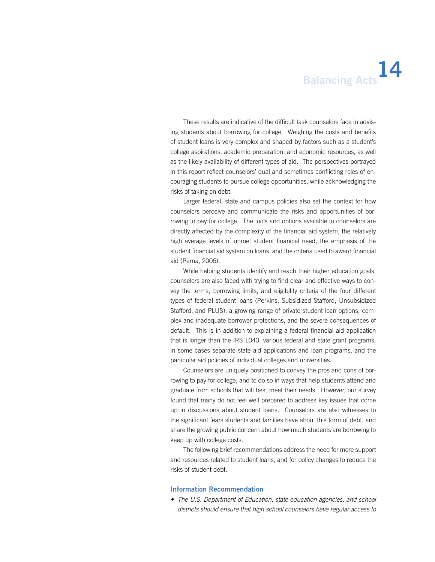### **Balancing Acts**<sup>14</sup>

These results are indicative of the difficult task counselors face in advising students about borrowing for college. Weighing the costs and benefits of student loans is very complex and shaped by factors such as a student's college aspirations, academic preparation, and economic resources, as well as the likely availability of different types of aid. The perspectives portrayed in this report reflect counselors' dual and sometimes conflicting roles of encouraging students to pursue college opportunities, while acknowledging the risks of taking on debt.

Larger federal, state and campus policies also set the context for how counselors perceive and communicate the risks and opportunities of borrowing to pay for college. The tools and options available to counselors are directly affected by the complexity of the financial aid system, the relatively high average levels of unmet student financial need, the emphasis of the student financial aid system on loans, and the criteria used to award financial aid (Perna, 2006).

While helping students identify and reach their higher education goals, counselors are also faced with trying to find clear and effective ways to convey the terms, borrowing limits, and eligibility criteria of the four different types of federal student loans (Perkins, Subsidized Stafford, Unsubsidized Stafford, and PLUS), a growing range of private student loan options, complex and inadequate borrower protections, and the severe consequences of default. This is in addition to explaining a federal financial aid application that is longer than the IRS 1040, various federal and state grant programs, in some cases separate state aid applications and loan programs, and the particular aid policies of individual colleges and universities.

Counselors are uniquely positioned to convey the pros and cons of borrowing to pay for college, and to do so in ways that help students attend and graduate from schools that will best meet their needs. However, our survey found that many do not feel well prepared to address key issues that come up in discussions about student loans. Counselors are also witnesses to the significant fears students and families have about this form of debt, and share the growing public concern about how much students are borrowing to keep up with college costs.

The following brief recommendations address the need for more support and resources related to student loans, and for policy changes to reduce the risks of student debt.

#### **Information Recommendation**

*• The U.S. Department of Education, state education agencies, and school districts should ensure that high school counselors have regular access to*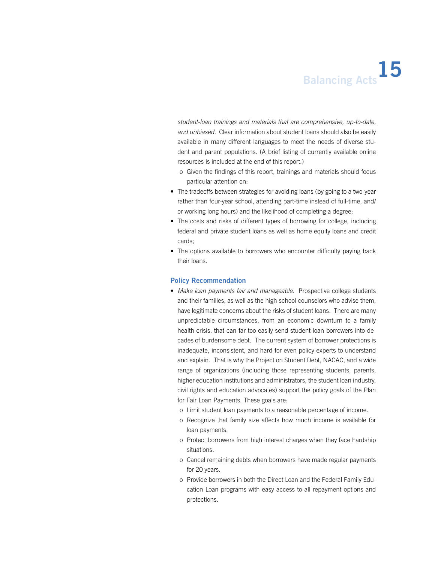*student-loan trainings and materials that are comprehensive, up-to-date, and unbiased.* Clear information about student loans should also be easily available in many different languages to meet the needs of diverse student and parent populations. (A brief listing of currently available online resources is included at the end of this report.)

- o Given the findings of this report, trainings and materials should focus particular attention on:
- The tradeoffs between strategies for avoiding loans (by going to a two-year rather than four-year school, attending part-time instead of full-time, and/ or working long hours) and the likelihood of completing a degree;
- The costs and risks of different types of borrowing for college, including federal and private student loans as well as home equity loans and credit cards;
- The options available to borrowers who encounter difficulty paying back their loans.

#### **Policy Recommendation**

- Make loan payments fair and manageable. Prospective college students and their families, as well as the high school counselors who advise them, have legitimate concerns about the risks of student loans. There are many unpredictable circumstances, from an economic downturn to a family health crisis, that can far too easily send student-loan borrowers into decades of burdensome debt. The current system of borrower protections is inadequate, inconsistent, and hard for even policy experts to understand and explain. That is why the Project on Student Debt, NACAC, and a wide range of organizations (including those representing students, parents, higher education institutions and administrators, the student loan industry, civil rights and education advocates) support the policy goals of the Plan for Fair Loan Payments. These goals are:
	- o Limit student loan payments to a reasonable percentage of income.
	- o Recognize that family size affects how much income is available for loan payments.
	- o Protect borrowers from high interest charges when they face hardship situations.
	- o Cancel remaining debts when borrowers have made regular payments for 20 years.
	- o Provide borrowers in both the Direct Loan and the Federal Family Education Loan programs with easy access to all repayment options and protections.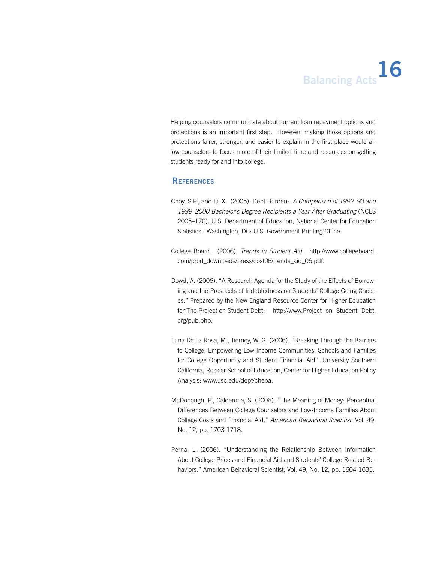Helping counselors communicate about current loan repayment options and protections is an important first step. However, making those options and protections fairer, stronger, and easier to explain in the first place would allow counselors to focus more of their limited time and resources on getting students ready for and into college.

### **References**

- Choy, S.P., and Li, X. (2005). Debt Burden: *A Comparison of 1992–93 and 1999–2000 Bachelor's Degree Recipients a Year After Graduating* (NCES 2005–170). U.S. Department of Education, National Center for Education Statistics. Washington, DC: U.S. Government Printing Office.
- College Board. (2006). *Trends in Student Aid.* http://www.collegeboard. com/prod\_downloads/press/cost06/trends\_aid\_06.pdf.
- Dowd, A. (2006). "A Research Agenda for the Study of the Effects of Borrowing and the Prospects of Indebtedness on Students' College Going Choices." Prepared by the New England Resource Center for Higher Education for The Project on Student Debt: http://www.Project on Student Debt. org/pub.php.
- Luna De La Rosa, M., Tierney, W. G. (2006). "Breaking Through the Barriers to College: Empowering Low-Income Communities, Schools and Families for College Opportunity and Student Financial Aid". University Southern California, Rossier School of Education, Center for Higher Education Policy Analysis: www.usc.edu/dept/chepa.
- McDonough, P., Calderone, S. (2006). "The Meaning of Money: Perceptual Differences Between College Counselors and Low-Income Families About College Costs and Financial Aid." *American Behavioral Scientist*, Vol. 49, No. 12, pp. 1703-1718.
- Perna, L. (2006). "Understanding the Relationship Between Information About College Prices and Financial Aid and Students' College Related Behaviors." American Behavioral Scientist, Vol. 49, No. 12, pp. 1604-1635.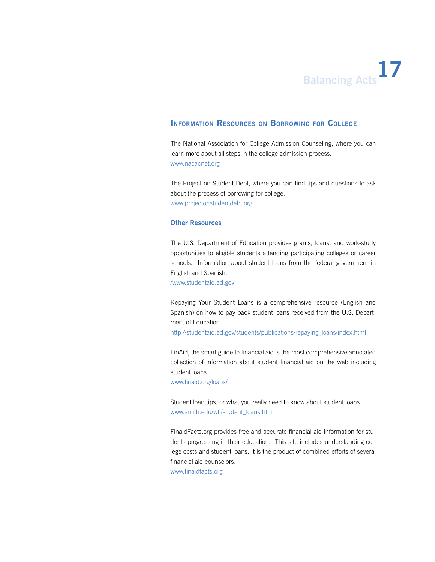# **Balancing Acts**<sup>17</sup>

### **Information Resources on Borrowing for College**

The National Association for College Admission Counseling, where you can learn more about all steps in the college admission process. www.nacacnet.org

The Project on Student Debt, where you can find tips and questions to ask about the process of borrowing for college. www.projectonstudentdebt.org

### **Other Resources**

The U.S. Department of Education provides grants, loans, and work-study opportunities to eligible students attending participating colleges or career schools. Information about student loans from the federal government in English and Spanish.

/www.studentaid.ed.gov

Repaying Your Student Loans is a comprehensive resource (English and Spanish) on how to pay back student loans received from the U.S. Department of Education.

http://studentaid.ed.gov/students/publications/repaying\_loans/index.html

FinAid, the smart guide to financial aid is the most comprehensive annotated collection of information about student financial aid on the web including student loans.

www.finaid.org/loans/

Student loan tips, or what you really need to know about student loans. www.smith.edu/wfi/student\_loans.htm

FinaidFacts.org provides free and accurate financial aid information for students progressing in their education. This site includes understanding college costs and student loans. It is the product of combined efforts of several financial aid counselors.

www.finaidfacts.org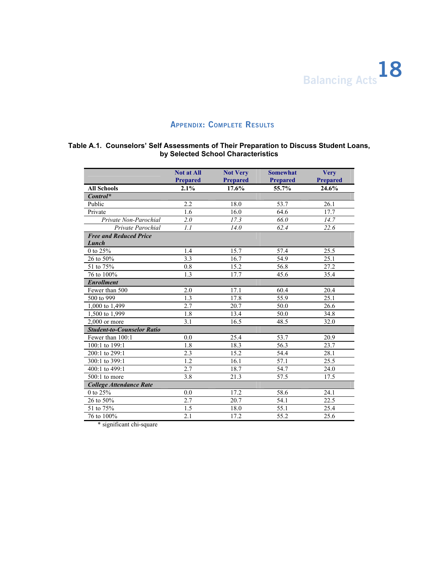

### **Appendix: Complete Results**

### **Table A.1. Counselors' Self Assessments of Their Preparation to Discuss Student Loans, by Selected School Characteristics**

|                                        | <b>Not at All</b> | <b>Not Very</b> | <b>Somewhat</b>   | <b>Very</b>     |
|----------------------------------------|-------------------|-----------------|-------------------|-----------------|
|                                        | <b>Prepared</b>   | <b>Prepared</b> | <b>Prepared</b>   | <b>Prepared</b> |
| <b>All Schools</b>                     | 2.1%              | 17.6%           | 55.7%             | 24.6%           |
| $Control^*$                            |                   |                 |                   |                 |
| Public                                 | 2.2               | 18.0            | 53.7              | 26.1            |
| Private                                | 1.6               | 16.0            | 64.6              | 17.7            |
| Private Non-Parochial                  | 2.0               | 17.3            | 66.0              | 14.7            |
| Private Parochial                      | 1.1               | 14.0            | 62.4              | 22.6            |
| <b>Free and Reduced Price</b><br>Lunch |                   |                 |                   |                 |
| 0 to $25\%$                            | 1.4               | 15.7            | 57.4              | 25.5            |
| 26 to 50%                              | 3.3               | 16.7            | 54.9              | 25.1            |
| 51 to 75%                              | 0.8               | 15.2            | 56.8              | 27.2            |
| 76 to 100%                             | 1.3               | 17.7            | 45.6              | 35.4            |
| <b>Enrollment</b>                      |                   |                 |                   |                 |
| Fewer than 500                         | 2.0               | 17.1            | 60.4              | 20.4            |
| 500 to 999                             | 1.3               | 17.8            | 55.9              | 25.1            |
| 1,000 to 1,499                         | 2.7               | 20.7            | 50.0              | 26.6            |
| 1,500 to 1,999                         | 1.8               | 13.4            | 50.0              | 34.8            |
| $2,000$ or more                        | 3.1               | 16.5            | 48.5              | 32.0            |
| <b>Student-to-Counselor Ratio</b>      |                   |                 |                   |                 |
| Fewer than 100:1                       | 0.0               | 25.4            | 53.7              | 20.9            |
| 100:1 to 199:1                         | 1.8               | 18.3            | 56.3              | 23.7            |
| 200:1 to 299:1                         | 2.3               | 15.2            | 54.4              | 28.1            |
| 300:1 to 399:1                         | 1.2               | 16.1            | 57.1              | 25.5            |
| 400:1 to 499:1                         | 2.7               | 18.7            | $\overline{5}4.7$ | 24.0            |
| $500:1$ to more                        | 3.8               | 21.3            | 57.5              | 17.5            |
| <b>College Attendance Rate</b>         |                   |                 |                   |                 |
| 0 to 25%                               | 0.0               | 17.2            | 58.6              | 24.1            |
| 26 to 50%                              | 2.7               | 20.7            | 54.1              | 22.5            |
| 51 to 75%                              | 1.5               | 18.0            | 55.1              | 25.4            |
| 76 to 100%                             | $\overline{2.1}$  | 17.2            | 55.2              | 25.6            |

\* significant chi-square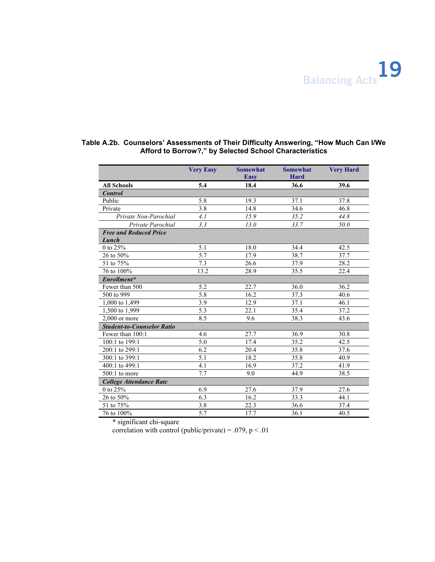

|                                        | <b>Very Easy</b> | <b>Somewhat</b>   | <b>Somewhat</b> | <b>Very Hard</b> |
|----------------------------------------|------------------|-------------------|-----------------|------------------|
|                                        |                  | <b>Easy</b>       | <b>Hard</b>     |                  |
| <b>All Schools</b>                     | 5.4              | 18.4              | 36.6            | 39.6             |
| <b>Control</b>                         |                  |                   |                 |                  |
| Public                                 | 5.8              | 19.3              | 37.1            | 37.8             |
| Private                                | 3.8              | 14.8              | 34.6            | 46.8             |
| Private Non-Parochial                  | 4.1              | 15.9              | 35.2            | 44.8             |
| Private Parochial                      | 3.3              | 13.0              | 33.7            | 50.0             |
| <b>Free and Reduced Price</b><br>Lunch |                  |                   |                 |                  |
| 0 to $25%$                             | 5.1              | 18.0              | 34.4            | 42.5             |
| 26 to 50%                              | 5.7              | 17.9              | 38.7            | 37.7             |
| 51 to 75%                              | 7.3              | 26.6              | 37.9            | 28.2             |
| 76 to 100%                             | 13.2             | 28.9              | 35.5            | 22.4             |
| Enrollment*                            |                  |                   |                 |                  |
| Fewer than 500                         | 5.2              | 22.7              | 36.0            | 36.2             |
| 500 to 999                             | 5.8              | 16.2              | 37.3            | 40.6             |
| 1,000 to 1,499                         | 3.9              | 12.9              | 37.1            | 46.1             |
| 1,500 to 1,999                         | 5.3              | 22.1              | 35.4            | 37.2             |
| $2,000$ or more                        | 8.5              | 9.6               | 38.3            | 43.6             |
| <b>Student-to-Counselor Ratio</b>      |                  |                   |                 |                  |
| Fewer than 100:1                       | 4.6              | 27.7              | 36.9            | 30.8             |
| 100:1 to 199:1                         | 5.0              | 17.4              | 35.2            | 42.5             |
| 200:1 to 299:1                         | 6.2              | $\overline{20.4}$ | 35.8            | 37.6             |
| 300:1 to 399:1                         | 5.1              | 18.2              | 35.8            | 40.9             |
| 400:1 to 499:1                         | 4.1              | 16.9              | 37.2            | 41.9             |
| $500:1$ to more                        | 7.7              | 9.0               | 44.9            | 38.5             |
| <b>College Attendance Rate</b>         |                  |                   |                 |                  |
| 0 to 25%                               | 6.9              | 27.6              | 37.9            | 27.6             |
| 26 to 50%                              | 6.3              | 16.2              | 33.3            | 44.1             |
| 51 to 75%                              | 3.8              | 22.3              | 36.6            | 37.4             |
| 76 to 100%                             | 5.7              | 17.7              | 36.1            | 40.5             |

### **Table A.2b. Counselors' Assessments of Their Difficulty Answering, "How Much Can I/We Afford to Borrow?," by Selected School Characteristics**

\* significant chi-square

correlation with control (public/private) = .079,  $p < .01$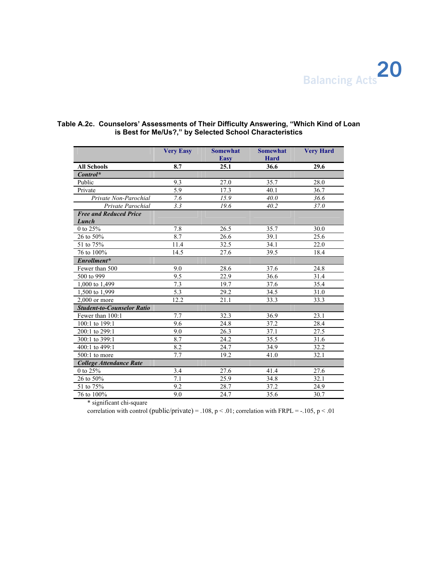

|                                        | <b>Very Easy</b> | <b>Somewhat</b><br><b>Easy</b> | <b>Somewhat</b><br>Hard | <b>Very Hard</b> |
|----------------------------------------|------------------|--------------------------------|-------------------------|------------------|
| <b>All Schools</b>                     | 8.7              | 25.1                           | 36.6                    | 29.6             |
| $Control^*$                            |                  |                                |                         |                  |
| Public                                 | 9.3              | 27.0                           | 35.7                    | 28.0             |
| Private                                | 5.9              | 17.3                           | 40.1                    | 36.7             |
| Private Non-Parochial                  | 7.6              | 15.9                           | 40.0                    | 36.6             |
| Private Parochial                      | 3.3              | 19.6                           | 40.2                    | 37.0             |
| <b>Free and Reduced Price</b><br>Lunch |                  |                                |                         |                  |
| 0 to $25%$                             | 7.8              | 26.5                           | 35.7                    | 30.0             |
| 26 to 50%                              | 8.7              | 26.6                           | 39.1                    | 25.6             |
| 51 to 75%                              | 11.4             | 32.5                           | 34.1                    | 22.0             |
| 76 to 100%                             | 14.5             | 27.6                           | 39.5                    | 18.4             |
| Enrollment*                            |                  |                                |                         |                  |
| Fewer than 500                         | 9.0              | 28.6                           | 37.6                    | 24.8             |
| 500 to 999                             | 9.5              | 22.9                           | 36.6                    | 31.4             |
| $1,000$ to 1,499                       | 7.3              | 19.7                           | 37.6                    | 35.4             |
| 1,500 to 1,999                         | 5.3              | 29.2                           | 34.5                    | 31.0             |
| $2.000$ or more                        | 12.2             | 21.1                           | 33.3                    | 33.3             |
| <b>Student-to-Counselor Ratio</b>      |                  |                                |                         |                  |
| Fewer than 100:1                       | 7.7              | 32.3                           | 36.9                    | 23.1             |
| 100:1 to 199:1                         | 9.6              | 24.8                           | 37.2                    | 28.4             |
| 200:1 to 299:1                         | 9.0              | 26.3                           | 37.1                    | 27.5             |
| 300:1 to 399:1                         | 8.7              | 24.2                           | 35.5                    | 31.6             |
| 400:1 to 499:1                         | 8.2              | 24.7                           | 34.9                    | 32.2             |
| $500:1$ to more                        | 7.7              | 19.2                           | 41.0                    | 32.1             |
| <b>College Attendance Rate</b>         |                  |                                |                         |                  |
| 0 to $25\%$                            | 3.4              | 27.6                           | 41.4                    | 27.6             |
| 26 to 50%                              | 7.1              | 25.9                           | 34.8                    | 32.1             |
| 51 to 75%                              | 9.2              | 28.7                           | 37.2                    | 24.9             |
| 76 to 100%                             | 9.0              | 24.7                           | 35.6                    | 30.7             |

### **Table A.2c. Counselors' Assessments of Their Difficulty Answering, "Which Kind of Loan is Best for Me/Us?," by Selected School Characteristics**

\* significant chi-square

correlation with control (public/private) = .108, p < .01; correlation with FRPL = -.105, p < .01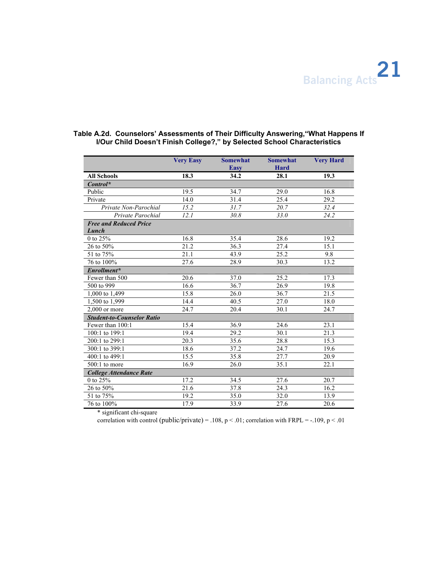| Hard<br><b>Easy</b><br>19.3<br>18.3<br>34.2<br>28.1<br><b>All Schools</b><br>$Control^*$<br>Public<br>19.5<br>34.7<br>29.0<br>16.8<br>Private<br>31.4<br>29.2<br>14.0<br>25.4<br>31.7<br>32.4<br>Private Non-Parochial<br>15.2<br>20.7<br>12.1<br>30.8<br>33.0<br>Private Parochial<br>24.2<br><b>Free and Reduced Price</b><br>Lunch<br>19.2<br>0 to 25%<br>16.8<br>35.4<br>28.6 | <b>Very Easy</b> | <b>Somewhat</b> | <b>Somewhat</b> | <b>Very Hard</b> |
|-----------------------------------------------------------------------------------------------------------------------------------------------------------------------------------------------------------------------------------------------------------------------------------------------------------------------------------------------------------------------------------|------------------|-----------------|-----------------|------------------|
|                                                                                                                                                                                                                                                                                                                                                                                   |                  |                 |                 |                  |
|                                                                                                                                                                                                                                                                                                                                                                                   |                  |                 |                 |                  |
|                                                                                                                                                                                                                                                                                                                                                                                   |                  |                 |                 |                  |
|                                                                                                                                                                                                                                                                                                                                                                                   |                  |                 |                 |                  |
|                                                                                                                                                                                                                                                                                                                                                                                   |                  |                 |                 |                  |
|                                                                                                                                                                                                                                                                                                                                                                                   |                  |                 |                 |                  |
|                                                                                                                                                                                                                                                                                                                                                                                   |                  |                 |                 |                  |
|                                                                                                                                                                                                                                                                                                                                                                                   |                  |                 |                 |                  |
|                                                                                                                                                                                                                                                                                                                                                                                   |                  |                 |                 |                  |
|                                                                                                                                                                                                                                                                                                                                                                                   |                  |                 |                 |                  |
| 36.3<br>26 to 50%<br>21.2<br>27.4<br>15.1                                                                                                                                                                                                                                                                                                                                         |                  |                 |                 |                  |
| 51 to $75\%$<br>21.1<br>43.9<br>25.2<br>9.8                                                                                                                                                                                                                                                                                                                                       |                  |                 |                 |                  |
| 76 to 100%<br>27.6<br>28.9<br>13.2<br>30.3                                                                                                                                                                                                                                                                                                                                        |                  |                 |                 |                  |
| Enrollment*                                                                                                                                                                                                                                                                                                                                                                       |                  |                 |                 |                  |
| 37.0<br>25.2<br>20.6<br>17.3<br>Fewer than 500                                                                                                                                                                                                                                                                                                                                    |                  |                 |                 |                  |
| 36.7<br>500 to 999<br>16.6<br>26.9<br>19.8                                                                                                                                                                                                                                                                                                                                        |                  |                 |                 |                  |
| 15.8<br>26.0<br>36.7<br>21.5<br>1,000 to 1,499                                                                                                                                                                                                                                                                                                                                    |                  |                 |                 |                  |
| 14.4<br>40.5<br>27.0<br>18.0<br>1,500 to 1,999                                                                                                                                                                                                                                                                                                                                    |                  |                 |                 |                  |
| $2.000$ or more<br>24.7<br>20.4<br>30.1<br>24.7                                                                                                                                                                                                                                                                                                                                   |                  |                 |                 |                  |
| <b>Student-to-Counselor Ratio</b>                                                                                                                                                                                                                                                                                                                                                 |                  |                 |                 |                  |
| 15.4<br>36.9<br>23.1<br>Fewer than 100:1<br>24.6                                                                                                                                                                                                                                                                                                                                  |                  |                 |                 |                  |
| 19.4<br>29.2<br>21.3<br>100:1 to 199:1<br>30.1                                                                                                                                                                                                                                                                                                                                    |                  |                 |                 |                  |
| 200:1 to 299:1<br>20.3<br>35.6<br>28.8<br>15.3                                                                                                                                                                                                                                                                                                                                    |                  |                 |                 |                  |
| 37.2<br>300:1 to 399:1<br>18.6<br>19.6<br>24.7                                                                                                                                                                                                                                                                                                                                    |                  |                 |                 |                  |
| 35.8<br>400:1 to 499:1<br>15.5<br>27.7<br>20.9                                                                                                                                                                                                                                                                                                                                    |                  |                 |                 |                  |
| 16.9<br>26.0<br>35.1<br>22.1<br>$500:1$ to more                                                                                                                                                                                                                                                                                                                                   |                  |                 |                 |                  |
| <b>College Attendance Rate</b>                                                                                                                                                                                                                                                                                                                                                    |                  |                 |                 |                  |
| 0 to $2\overline{5\%}$<br>17.2<br>34.5<br>27.6<br>20.7                                                                                                                                                                                                                                                                                                                            |                  |                 |                 |                  |
| 26 to 50%<br>16.2<br>21.6<br>37.8<br>24.3                                                                                                                                                                                                                                                                                                                                         |                  |                 |                 |                  |
| 51 to 75%<br>19.2<br>35.0<br>32.0<br>13.9                                                                                                                                                                                                                                                                                                                                         |                  |                 |                 |                  |
| 76 to 100%<br>17.9<br>33.9<br>27.6<br>20.6                                                                                                                                                                                                                                                                                                                                        |                  |                 |                 |                  |

### **Table A.2d. Counselors' Assessments of Their Difficulty Answering,"What Happens If I/Our Child Doesn't Finish College?," by Selected School Characteristics**

\* significant chi-square

correlation with control (public/private) = .108,  $p < .01$ ; correlation with FRPL = -.109,  $p < .01$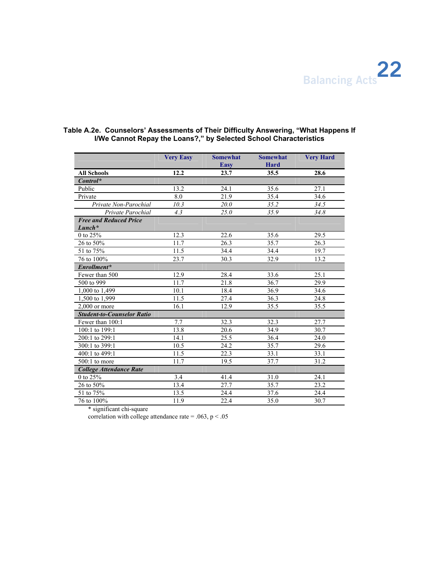

|                                   | <b>Very Easy</b> | <b>Somewhat</b> | <b>Somewhat</b> | <b>Very Hard</b> |
|-----------------------------------|------------------|-----------------|-----------------|------------------|
|                                   |                  | <b>Easy</b>     | <b>Hard</b>     |                  |
| <b>All Schools</b>                | 12.2             | 23.7            | 35.5            | 28.6             |
| $Control^*$                       |                  |                 |                 |                  |
| Public                            | 13.2             | 24.1            | 35.6            | 27.1             |
| Private                           | 8.0              | 21.9            | 35.4            | 34.6             |
| Private Non-Parochial             | 10.3             | 20.0            | 35.2            | 34.5             |
| Private Parochial                 | 4.3              | 25.0            | 35.9            | 34.8             |
| <b>Free and Reduced Price</b>     |                  |                 |                 |                  |
| $Lunch*$                          |                  |                 |                 |                  |
| 0 to 25%                          | 12.3             | 22.6            | 35.6            | 29.5             |
| 26 to 50%                         | 11.7             | 26.3            | 35.7            | 26.3             |
| 51 to 75%                         | 11.5             | 34.4            | 34.4            | 19.7             |
| 76 to 100%                        | 23.7             | 30.3            | 32.9            | 13.2             |
| Enrollment*                       |                  |                 |                 |                  |
| Fewer than 500                    | 12.9             | 28.4            | 33.6            | 25.1             |
| 500 to 999                        | 11.7             | 21.8            | 36.7            | 29.9             |
| 1,000 to 1,499                    | 10.1             | 18.4            | 36.9            | 34.6             |
| 1,500 to 1,999                    | 11.5             | 27.4            | 36.3            | 24.8             |
| $2,000$ or more                   | 16.1             | 12.9            | 35.5            | 35.5             |
| <b>Student-to-Counselor Ratio</b> |                  |                 |                 |                  |
| Fewer than 100:1                  | 7.7              | 32.3            | 32.3            | 27.7             |
| 100:1 to 199:1                    | 13.8             | 20.6            | 34.9            | 30.7             |
| 200:1 to 299:1                    | 14.1             | 25.5            | 36.4            | 24.0             |
| 300:1 to 399:1                    | 10.5             | 24.2            | 35.7            | 29.6             |
| 400:1 to 499:1                    | 11.5             | 22.3            | 33.1            | 33.1             |
| $500:1$ to more                   | 11.7             | 19.5            | 37.7            | 31.2             |
| <b>College Attendance Rate</b>    |                  |                 |                 |                  |
| 0 to 25%                          | 3.4              | 41.4            | 31.0            | 24.1             |
| 26 to 50%                         | 13.4             | 27.7            | 35.7            | 23.2             |
| 51 to 75%                         | 13.5             | 24.4            | 37.6            | 24.4             |
| 76 to 100%                        | 11.9             | 22.4            | 35.0            | 30.7             |

### **Table A.2e. Counselors' Assessments of Their Difficulty Answering, "What Happens If I/We Cannot Repay the Loans?," by Selected School Characteristics**

\* significant chi-square

correlation with college attendance rate = .063,  $p < .05$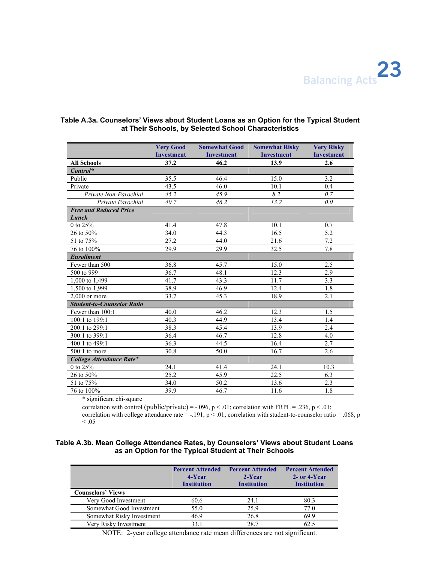

|                                   | <b>Very Good</b>  | <b>Somewhat Good</b> | <b>Somewhat Risky</b> | <b>Very Risky</b> |
|-----------------------------------|-------------------|----------------------|-----------------------|-------------------|
|                                   | <b>Investment</b> | <b>Investment</b>    | <b>Investment</b>     | <b>Investment</b> |
| <b>All Schools</b>                | 37.2              | 46.2                 | 13.9                  | 2.6               |
| $Control^*$                       |                   |                      |                       |                   |
| Public                            | 35.5              | 46.4                 | 15.0                  | 3.2               |
| Private                           | 43.5              | 46.0                 | 10.1                  | 0.4               |
| Private Non-Parochial             | 45.2              | 45.9                 | 8.2                   | 0.7               |
| Private Parochial                 | 40.7              | 46.2                 | 13.2                  | 0.0               |
| <b>Free and Reduced Price</b>     |                   |                      |                       |                   |
| Lunch                             |                   |                      |                       |                   |
| 0 to 25%                          | 41.4              | 47.8                 | 10.1                  | 0.7               |
| 26 to 50%                         | 34.0              | 44.3                 | 16.5                  | 5.2               |
| 51 to 75%                         | 27.2              | 44.0                 | 21.6                  | 7.2               |
| 76 to 100%                        | 29.9              | 29.9                 | 32.5                  | 7.8               |
| <b>Enrollment</b>                 |                   |                      |                       |                   |
| Fewer than 500                    | 36.8              | 45.7                 | 15.0                  | 2.5               |
| 500 to 999                        | 36.7              | 48.1                 | 12.3                  | 2.9               |
| 1,000 to 1,499                    | 41.7              | 43.3                 | 11.7                  | 3.3               |
| 1,500 to 1,999                    | 38.9              | 46.9                 | 12.4                  | 1.8               |
| $2.000$ or more                   | 33.7              | 45.3                 | 18.9                  | 2.1               |
| <b>Student-to-Counselor Ratio</b> |                   |                      |                       |                   |
| Fewer than 100:1                  | 40.0              | 46.2                 | 12.3                  | 1.5               |
| 100:1 to 199:1                    | 40.3              | 44.9                 | 13.4                  | 1.4               |
| 200:1 to 299:1                    | 38.3              | 45.4                 | 13.9                  | 2.4               |
| 300:1 to 399:1                    | 36.4              | 46.7                 | 12.8                  | 4.0               |
| 400:1 to 499:1                    | 36.3              | 44.5                 | 16.4                  | 2.7               |
| $500:1$ to more                   | 30.8              | 50.0                 | 16.7                  | 2.6               |
| College Attendance Rate*          |                   |                      |                       |                   |
| 0 to 25%                          | 24.1              | 41.4                 | 24.1                  | 10.3              |
| 26 to 50%                         | 25.2              | 45.9                 | 22.5                  | 6.3               |
| 51 to 75%                         | 34.0              | 50.2                 | 13.6                  | 2.3               |
| 76 to 100%                        | 39.9              | 46.7                 | 11.6                  | 1.8               |

### **Table A.3a. Counselors' Views about Student Loans as an Option for the Typical Student at Their Schools, by Selected School Characteristics**

\* significant chi-square

correlation with control (public/private) = -.096, p < .01; correlation with FRPL = .236, p < .01;

correlation with college attendance rate =  $-.191$ ,  $p < .01$ ; correlation with student-to-counselor ratio = .068, p  $< 0.05$ 

### **Table A.3b. Mean College Attendance Rates, by Counselors' Views about Student Loans as an Option for the Typical Student at Their Schools**

|                           | <b>Percent Attended</b><br>4-Year<br><b>Institution</b> | <b>Percent Attended</b><br>2-Year<br><b>Institution</b> | <b>Percent Attended</b><br>2- or 4-Year<br><b>Institution</b> |
|---------------------------|---------------------------------------------------------|---------------------------------------------------------|---------------------------------------------------------------|
| <b>Counselors' Views</b>  |                                                         |                                                         |                                                               |
| Very Good Investment      | 60.6                                                    | 24.1                                                    | 80.3                                                          |
| Somewhat Good Investment  | 55.0                                                    | 25.9                                                    | 77 0                                                          |
| Somewhat Risky Investment | 46.9                                                    | 26.8                                                    | 69.9                                                          |
| Very Risky Investment     | 33                                                      | 28.7                                                    | 62.5                                                          |

NOTE: 2-year college attendance rate mean differences are not significant.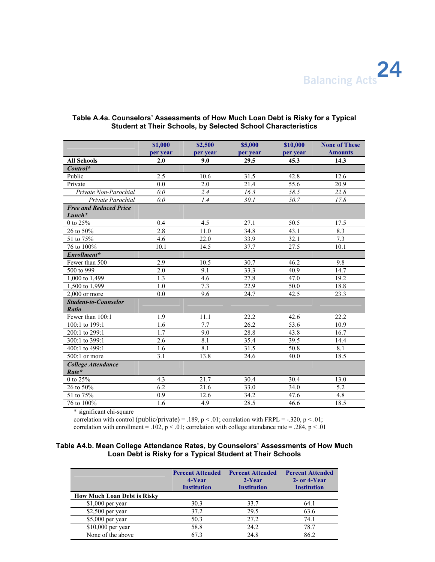Balancing Acts<sup>24</sup>

|                                             | \$1,000  | \$2,500          | \$5,000  | \$10,000 | <b>None of These</b> |
|---------------------------------------------|----------|------------------|----------|----------|----------------------|
|                                             | per year | per year         | per year | per year | <b>Amounts</b>       |
| <b>All Schools</b>                          | 2.0      | 9.0              | 29.5     | 45.3     | 14.3                 |
| $Control^*$                                 |          |                  |          |          |                      |
| Public                                      | 2.5      | 10.6             | 31.5     | 42.8     | 12.6                 |
| Private                                     | 0.0      | 2.0              | 21.4     | 55.6     | 20.9                 |
| Private Non-Parochial                       | 0.0      | 2.4              | 16.3     | 58.5     | 22.8                 |
| Private Parochial                           | 0.0      | 1.4              | 30.1     | 50.7     | 17.8                 |
| <b>Free and Reduced Price</b><br>$Lunch*$   |          |                  |          |          |                      |
| 0 to 25%                                    | 0.4      | 4.5              | 27.1     | 50.5     | 17.5                 |
| 26 to 50%                                   | 2.8      | 11.0             | 34.8     | 43.1     | 8.3                  |
| 51 to 75%                                   | 4.6      | 22.0             | 33.9     | 32.1     | 7.3                  |
| 76 to 100%                                  | 10.1     | 14.5             | 37.7     | 27.5     | 10.1                 |
| Enrollment*                                 |          |                  |          |          |                      |
| Fewer than 500                              | 2.9      | 10.5             | 30.7     | 46.2     | 9.8                  |
| 500 to 999                                  | 2.0      | 9.1              | 33.3     | 40.9     | 14.7                 |
| 1,000 to 1,499                              | 1.3      | 4.6              | 27.8     | 47.0     | 19.2                 |
| 1,500 to 1,999                              | 1.0      | 7.3              | 22.9     | 50.0     | 18.8                 |
| $2.000$ or more                             | 0.0      | 9.6              | 24.7     | 42.5     | 23.3                 |
| <b>Student-to-Counselor</b><br><b>Ratio</b> |          |                  |          |          |                      |
| Fewer than 100:1                            | 1.9      | 11.1             | 22.2     | 42.6     | 22.2                 |
| 100:1 to 199:1                              | 1.6      | 7.7              | 26.2     | 53.6     | 10.9                 |
| 200:1 to 299:1                              | 1.7      | 9.0              | 28.8     | 43.8     | 16.7                 |
| 300:1 to 399:1                              | 2.6      | $\overline{8.1}$ | 35.4     | 39.5     | 14.4                 |
| 400:1 to 499:1                              | 1.6      | 8.1              | 31.5     | 50.8     | 8.1                  |
| $500:1$ or more                             | 3.1      | 13.8             | 24.6     | 40.0     | 18.5                 |
| <b>College Attendance</b><br>Rate*          |          |                  |          |          |                      |
| 0 to $25\%$                                 | 4.3      | 21.7             | 30.4     | 30.4     | 13.0                 |
| 26 to 50%                                   | 6.2      | 21.6             | 33.0     | 34.0     | 5.2                  |
| 51 to 75%                                   | 0.9      | 12.6             | 34.2     | 47.6     | 4.8                  |
| 76 to 100%                                  | 1.6      | 4.9              | 28.5     | 46.6     | 18.5                 |

### **Table A.4a. Counselors' Assessments of How Much Loan Debt is Risky for a Typical Student at Their Schools, by Selected School Characteristics**

\* significant chi-square

correlation with control (public/private) = .189, p < .01; correlation with FRPL = -.320, p < .01; correlation with enrollment = .102,  $p < .01$ ; correlation with college attendance rate = .284,  $p < .01$ 

### **Table A4.b. Mean College Attendance Rates, by Counselors' Assessments of How Much Loan Debt is Risky for a Typical Student at Their Schools**

|                                    | <b>Percent Attended</b><br>4-Year<br><b>Institution</b> | <b>Percent Attended</b><br>2-Year<br><b>Institution</b> | <b>Percent Attended</b><br>2- or 4-Year<br><b>Institution</b> |
|------------------------------------|---------------------------------------------------------|---------------------------------------------------------|---------------------------------------------------------------|
| <b>How Much Loan Debt is Risky</b> |                                                         |                                                         |                                                               |
| $$1,000$ per year                  | 30.3                                                    | 33.7                                                    | 64.1                                                          |
| $$2,500$ per year                  | 37.2                                                    | 29.5                                                    | 63.6                                                          |
| $$5,000$ per year                  | 50.3                                                    | 27.2                                                    | 74.1                                                          |
| $$10,000$ per year                 | 58.8                                                    | 24.2                                                    | 78.7                                                          |
| None of the above                  | 67 3                                                    | 24.8                                                    | 86.2                                                          |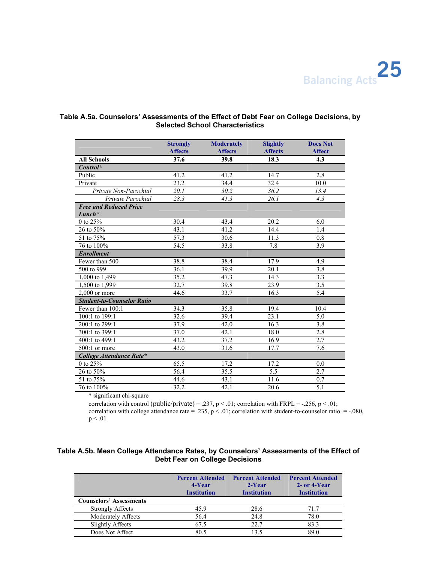Balancing Acts<sup>25</sup>

|                                           | <b>Strongly</b><br><b>Affects</b> | <b>Moderately</b><br><b>Affects</b> | <b>Slightly</b><br><b>Affects</b> | <b>Does Not</b><br><b>Affect</b> |
|-------------------------------------------|-----------------------------------|-------------------------------------|-----------------------------------|----------------------------------|
| <b>All Schools</b>                        | 37.6                              | 39.8                                | 18.3                              | 4.3                              |
| $Control^*$                               |                                   |                                     |                                   |                                  |
| Public                                    | 41.2                              | 41.2                                | 14.7                              | 2.8                              |
| Private                                   | 23.2                              | 34.4                                | 32.4                              | 10.0                             |
| Private Non-Parochial                     | 20.1                              | 30.2                                | 36.2                              | 13.4                             |
| Private Parochial                         | 28.3                              | 41.3                                | 26.1                              | 4.3                              |
| <b>Free and Reduced Price</b><br>$Lunch*$ |                                   |                                     |                                   |                                  |
| 0 to 25%                                  | 30.4                              | 43.4                                | 20.2                              | 6.0                              |
| 26 to 50%                                 | 43.1                              | 41.2                                | 14.4                              | 1.4                              |
| 51 to 75%                                 | 57.3                              | 30.6                                | 11.3                              | 0.8                              |
| 76 to 100%                                | 54.5                              | 33.8                                | 7.8                               | 3.9                              |
| <b>Enrollment</b>                         |                                   |                                     |                                   |                                  |
| Fewer than 500                            | 38.8                              | 38.4                                | 17.9                              | 4.9                              |
| 500 to 999                                | 36.1                              | 39.9                                | 20.1                              | 3.8                              |
| 1,000 to 1,499                            | 35.2                              | 47.3                                | 14.3                              | 3.3                              |
| 1,500 to 1,999                            | 32.7                              | 39.8                                | 23.9                              | 3.5                              |
| $2,000$ or more                           | 44.6                              | 33.7                                | 16.3                              | 5.4                              |
| <b>Student-to-Counselor Ratio</b>         |                                   |                                     |                                   |                                  |
| Fewer than 100:1                          | 34.3                              | 35.8                                | 19.4                              | 10.4                             |
| 100:1 to 199:1                            | 32.6                              | 39.4                                | 23.1                              | 5.0                              |
| 200:1 to 299:1                            | 37.9                              | 42.0                                | 16.3                              | 3.8                              |
| 300:1 to 399:1                            | 37.0                              | 42.1                                | 18.0                              | 2.8                              |
| 400:1 to 499:1                            | 43.2                              | 37.2                                | 16.9                              | 2.7                              |
| 500:1 or more                             | 43.0                              | 31.6                                | 17.7                              | 7.6                              |
| College Attendance Rate*                  |                                   |                                     |                                   |                                  |
| 0 to 25%                                  | 65.5                              | 17.2                                | 17.2                              | 0.0                              |
| 26 to 50%                                 | 56.4                              | 35.5                                | 5.5                               | 2.7                              |
| 51 to 75%                                 | 44.6                              | 43.1                                | 11.6                              | 0.7                              |
| 76 to 100%                                | 32.2                              | 42.1                                | 20.6                              | 5.1                              |

### **Table A.5a. Counselors' Assessments of the Effect of Debt Fear on College Decisions, by Selected School Characteristics**

\* significant chi-square

correlation with control (public/private) = .237, p < .01; correlation with FRPL = -.256, p < .01; correlation with college attendance rate = .235,  $p < .01$ ; correlation with student-to-counselor ratio = -.080,  $p < .01$ 

### **Table A.5b. Mean College Attendance Rates, by Counselors' Assessments of the Effect of Debt Fear on College Decisions**

|                                | <b>Percent Attended</b><br>4-Year<br><b>Institution</b> | <b>Percent Attended</b><br>2-Year<br><b>Institution</b> | <b>Percent Attended</b><br>$2$ - or 4-Year<br><b>Institution</b> |
|--------------------------------|---------------------------------------------------------|---------------------------------------------------------|------------------------------------------------------------------|
| <b>Counselors' Assessments</b> |                                                         |                                                         |                                                                  |
| <b>Strongly Affects</b>        | 459                                                     | 28.6                                                    | 717                                                              |
| Moderately Affects             | 56.4                                                    | 24.8                                                    | 78.0                                                             |
| <b>Slightly Affects</b>        | 67.5                                                    | 22.7                                                    | 83.3                                                             |
| Does Not Affect                | 80.5                                                    | 13.5                                                    | 89.0                                                             |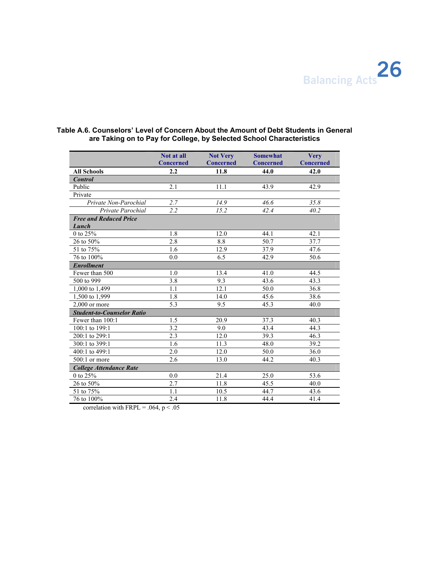

|                                   | Not at all              | <b>Not Very</b>          | <b>Somewhat</b>          | <b>Very</b>              |
|-----------------------------------|-------------------------|--------------------------|--------------------------|--------------------------|
| <b>All Schools</b>                | <b>Concerned</b><br>2.2 | <b>Concerned</b><br>11.8 | <b>Concerned</b><br>44.0 | <b>Concerned</b><br>42.0 |
| <b>Control</b>                    |                         |                          |                          |                          |
| Public                            | 2.1                     | 11.1                     | 43.9                     | 42.9                     |
| Private                           |                         |                          |                          |                          |
| Private Non-Parochial             | 2.7                     | 14.9                     | 46.6                     | 35.8                     |
| Private Parochial                 | $\overline{2.2}$        | 15.2                     | 42.4                     | 40.2                     |
| <b>Free and Reduced Price</b>     |                         |                          |                          |                          |
| Lunch                             |                         |                          |                          |                          |
| 0 to 25%                          | 1.8                     | 12.0                     | 44.1                     | 42.1                     |
| 26 to 50%                         | 2.8                     | 8.8                      | 50.7                     | 37.7                     |
| 51 to 75%                         | 1.6                     | 12.9                     | 37.9                     | 47.6                     |
| 76 to 100%                        | 0.0                     | 6.5                      | 42.9                     | 50.6                     |
| <b>Enrollment</b>                 |                         |                          |                          |                          |
| Fewer than 500                    | 1.0                     | 13.4                     | 41.0                     | 44.5                     |
| 500 to 999                        | 3.8                     | 9.3                      | 43.6                     | 43.3                     |
| 1,000 to 1,499                    | 1.1                     | 12.1                     | 50.0                     | 36.8                     |
| $1,500$ to 1,999                  | 1.8                     | 14.0                     | 45.6                     | 38.6                     |
| $2,000$ or more                   | 5.3                     | 9.5                      | 45.3                     | 40.0                     |
| <b>Student-to-Counselor Ratio</b> |                         |                          |                          |                          |
| Fewer than 100:1                  | 1.5                     | 20.9                     | 37.3                     | 40.3                     |
| 100:1 to 199:1                    | 3.2                     | 9.0                      | 43.4                     | 44.3                     |
| 200:1 to 299:1                    | 2.3                     | 12.0                     | 39.3                     | 46.3                     |
| 300:1 to 399:1                    | 1.6                     | 11.3                     | 48.0                     | 39.2                     |
| 400:1 to 499:1                    | 2.0                     | 12.0                     | 50.0                     | 36.0                     |
| $500:1$ or more                   | 2.6                     | 13.0                     | 44.2                     | 40.3                     |
| <b>College Attendance Rate</b>    |                         |                          |                          |                          |
| 0 to 25%                          | 0.0                     | 21.4                     | 25.0                     | 53.6                     |
| 26 to 50%                         | 2.7                     | 11.8                     | 45.5                     | 40.0                     |
| 51 to 75%                         | 1.1                     | 10.5                     | 44.7                     | 43.6                     |
| 76 to 100%                        | 2.4                     | 11.8                     | 44.4                     | 41.4                     |

### **Table A.6. Counselors' Level of Concern About the Amount of Debt Students in General are Taking on to Pay for College, by Selected School Characteristics**

correlation with FRPL = .064,  $p < .05$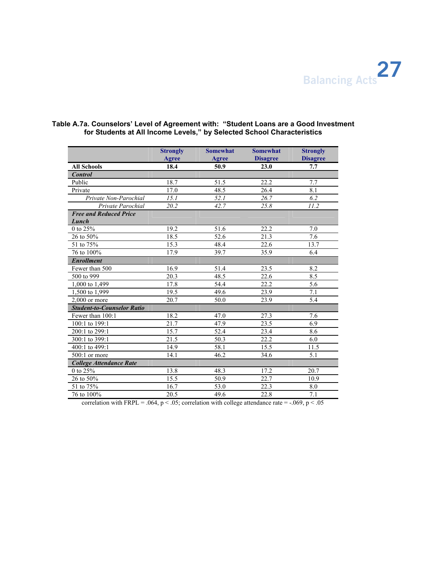

|                                        | <b>Strongly</b><br><b>Agree</b> | <b>Somewhat</b><br>Agree | <b>Somewhat</b><br><b>Disagree</b> | <b>Strongly</b><br><b>Disagree</b> |
|----------------------------------------|---------------------------------|--------------------------|------------------------------------|------------------------------------|
| <b>All Schools</b>                     | 18.4                            | 50.9                     | 23.0                               | 7.7                                |
| <b>Control</b>                         |                                 |                          |                                    |                                    |
| Public                                 | 18.7                            | 51.5                     | 22.2                               | 7.7                                |
| Private                                | 17.0                            | 48.5                     | 26.4                               | 8.1                                |
| Private Non-Parochial                  | 15.1                            | 52.1                     | 26.7                               | 6.2                                |
| Private Parochial                      | 20.2                            | 42.7                     | 25.8                               | 11.2                               |
| <b>Free and Reduced Price</b><br>Lunch |                                 |                          |                                    |                                    |
| 0 to 25%                               | 19.2                            | 51.6                     | 22.2                               | 7.0                                |
| 26 to 50%                              | 18.5                            | 52.6                     | 21.3                               | 7.6                                |
| 51 to 75%                              | 15.3                            | 48.4                     | 22.6                               | 13.7                               |
| 76 to 100%                             | 17.9                            | 39.7                     | 35.9                               | 6.4                                |
| <b>Enrollment</b>                      |                                 |                          |                                    |                                    |
| Fewer than 500                         | 16.9                            | 51.4                     | 23.5                               | 8.2                                |
| 500 to 999                             | $\overline{20.3}$               | 48.5                     | 22.6                               | 8.5                                |
| 1,000 to 1,499                         | 17.8                            | 54.4                     | 22.2                               | 5.6                                |
| 1,500 to 1,999                         | 19.5                            | 49.6                     | 23.9                               | 7.1                                |
| $2.000$ or more                        | 20.7                            | 50.0                     | 23.9                               | 5.4                                |
| <b>Student-to-Counselor Ratio</b>      |                                 |                          |                                    |                                    |
| Fewer than 100:1                       | 18.2                            | 47.0                     | 27.3                               | 7.6                                |
| 100:1 to 199:1                         | 21.7                            | 47.9                     | 23.5                               | 6.9                                |
| 200:1 to 299:1                         | 15.7                            | 52.4                     | 23.4                               | 8.6                                |
| 300:1 to 399:1                         | 21.5                            | 50.3                     | 22.2                               | 6.0                                |
| 400:1 to 499:1                         | 14.9                            | 58.1                     | 15.5                               | 11.5                               |
| $500:1$ or more                        | 14.1                            | 46.2                     | 34.6                               | 5.1                                |
| <b>College Attendance Rate</b>         |                                 |                          |                                    |                                    |
| 0 to 25%                               | 13.8                            | 48.3                     | 17.2                               | 20.7                               |
| 26 to 50%                              | 15.5                            | 50.9                     | 22.7                               | 10.9                               |
| 51 to 75%                              | 16.7                            | 53.0                     | 22.3                               | 8.0                                |
| 76 to 100%                             | $\overline{20.5}$               | 49.6                     | 22.8                               | 7.1                                |
| 14.588<br>$\sim$                       |                                 | $\mathbf{r}$             |                                    | 0 <sub>0</sub>                     |

### **Table A.7a. Counselors' Level of Agreement with: "Student Loans are a Good Investment for Students at All Income Levels," by Selected School Characteristics**

correlation with FRPL = .064,  $p < .05$ ; correlation with college attendance rate = -.069,  $p < .05$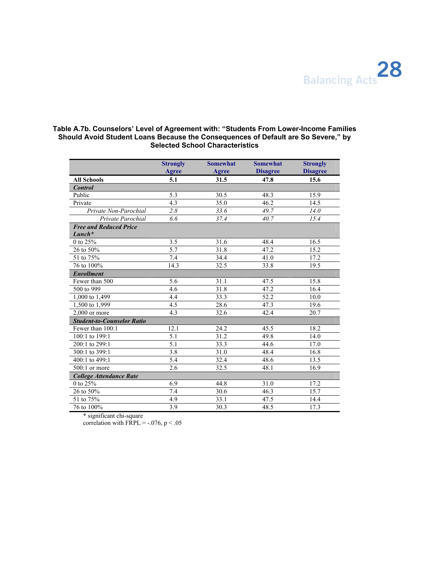

### **Table A.7b. Counselors' Level of Agreement with: "Students From Lower-Income Families Should Avoid Student Loans Because the Consequences of Default are So Severe," by Selected School Characteristics**

|                                           | <b>Strongly</b><br><b>Agree</b> | <b>Somewhat</b><br><b>Agree</b> | <b>Somewhat</b><br><b>Disagree</b> | <b>Strongly</b><br><b>Disagree</b> |
|-------------------------------------------|---------------------------------|---------------------------------|------------------------------------|------------------------------------|
| <b>All Schools</b>                        | 5.1                             | 31.5                            | 47.8                               | 15.6                               |
| <b>Control</b>                            |                                 |                                 |                                    |                                    |
| Public                                    | 5.3                             | 30.5                            | 48.3                               | 15.9                               |
| Private                                   | 4.3                             | 35.0                            | 46.2                               | 14.5                               |
| Private Non-Parochial                     | 2.8                             | 33.6                            | 49.7                               | 14.0                               |
| Private Parochial                         | 6.6                             | 37.4                            | 40.7                               | 15.4                               |
| <b>Free and Reduced Price</b><br>$Lunch*$ |                                 |                                 |                                    |                                    |
| 0 to 25%                                  | 3.5                             | 31.6                            | 48.4                               | 16.5                               |
| 26 to 50%                                 | 5.7                             | 31.8                            | 47.2                               | 15.2                               |
| 51 to 75%                                 | 7.4                             | 34.4                            | 41.0                               | 17.2                               |
| 76 to 100%                                | 14.3                            | 32.5                            | 33.8                               | 19.5                               |
| <b>Enrollment</b>                         |                                 |                                 |                                    |                                    |
| Fewer than 500                            | 5.6                             | 31.1                            | 47.5                               | 15.8                               |
| 500 to 999                                | 4.6                             | 31.8                            | 47.2                               | 16.4                               |
| 1,000 to 1,499                            | 4.4                             | 33.3                            | 52.2                               | 10.0                               |
| 1,500 to 1,999                            | 4.5                             | 28.6                            | 47.3                               | 19.6                               |
| $2,000$ or more                           | 4.3                             | 32.6                            | 42.4                               | 20.7                               |
| <b>Student-to-Counselor Ratio</b>         |                                 |                                 |                                    |                                    |
| Fewer than 100:1                          | 12.1                            | 24.2                            | 45.5                               | 18.2                               |
| 100:1 to 199:1                            | 5.1                             | 31.2                            | 49.8                               | 14.0                               |
| 200:1 to 299:1                            | $\overline{5.1}$                | 33.3                            | 44.6                               | 17.0                               |
| 300:1 to 399:1                            | 3.8                             | 31.0                            | 48.4                               | 16.8                               |
| 400:1 to 499:1                            | 5.4                             | 32.4                            | 48.6                               | 13.5                               |
| $500:1$ or more                           | 2.6                             | 32.5                            | 48.1                               | 16.9                               |
| <b>College Attendance Rate</b>            |                                 |                                 |                                    |                                    |
| 0 to 25%                                  | 6.9                             | 44.8                            | 31.0                               | 17.2                               |
| 26 to 50%                                 | 7.4                             | 30.6                            | 46.3                               | 15.7                               |
| 51 to 75%                                 | 4.9                             | 33.1                            | 47.5                               | 14.4                               |
| 76 to 100%                                | 3.9                             | 30.3                            | 48.5                               | 17.3                               |

\* significant chi-square

correlation with FRPL =  $-.076$ , p < .05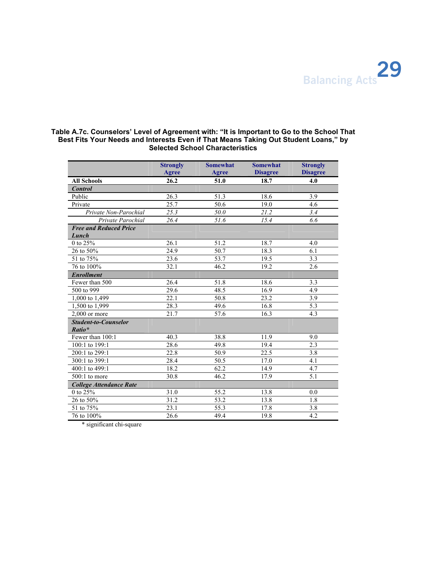

### **Table A.7c. Counselors' Level of Agreement with: "It is Important to Go to the School That Best Fits Your Needs and Interests Even if That Means Taking Out Student Loans," by Selected School Characteristics**

|                                        | <b>Strongly</b><br>Agree | <b>Somewhat</b><br>Agree | <b>Somewhat</b><br><b>Disagree</b> | <b>Strongly</b><br><b>Disagree</b> |
|----------------------------------------|--------------------------|--------------------------|------------------------------------|------------------------------------|
| <b>All Schools</b>                     | 26.2                     | 51.0                     | 18.7                               | 4.0                                |
| <b>Control</b>                         |                          |                          |                                    |                                    |
| Public                                 | 26.3                     | 51.3                     | 18.6                               | 3.9                                |
| Private                                | 25.7                     | 50.6                     | 19.0                               | 4.6                                |
| Private Non-Parochial                  | 25.3                     | 50.0                     | 21.2                               | 3.4                                |
| Private Parochial                      | 26.4                     | 51.6                     | 15.4                               | 6.6                                |
| <b>Free and Reduced Price</b><br>Lunch |                          |                          |                                    |                                    |
| 0 to 25%                               | 26.1                     | 51.2                     | 18.7                               | 4.0                                |
| 26 to 50%                              | 24.9                     | 50.7                     | 18.3                               | 6.1                                |
| 51 to 75%                              | 23.6                     | 53.7                     | 19.5                               | 3.3                                |
| 76 to 100%                             | 32.1                     | 46.2                     | 19.2                               | 2.6                                |
| <b>Enrollment</b>                      |                          |                          |                                    |                                    |
| Fewer than 500                         | 26.4                     | 51.8                     | 18.6                               | 3.3                                |
| 500 to 999                             | 29.6                     | 48.5                     | 16.9                               | 4.9                                |
| 1,000 to 1,499                         | 22.1                     | 50.8                     | 23.2                               | 3.9                                |
| 1,500 to 1,999                         | 28.3                     | 49.6                     | 16.8                               | 5.3                                |
| $2,000$ or more                        | 21.7                     | 57.6                     | 16.3                               | 4.3                                |
| <b>Student-to-Counselor</b><br>Ratio*  |                          |                          |                                    |                                    |
| Fewer than 100:1                       | 40.3                     | 38.8                     | 11.9                               | 9.0                                |
| 100:1 to 199:1                         | 28.6                     | 49.8                     | 19.4                               | 2.3                                |
| 200:1 to 299:1                         | 22.8                     | 50.9                     | 22.5                               | $\overline{3.8}$                   |
| 300:1 to 399:1                         | 28.4                     | 50.5                     | 17.0                               | 4.1                                |
| 400:1 to 499:1                         | 18.2                     | 62.2                     | 14.9                               | 4.7                                |
| $500:1$ to more                        | 30.8                     | 46.2                     | 17.9                               | 5.1                                |
| <b>College Attendance Rate</b>         |                          |                          |                                    |                                    |
| 0 to 25%                               | 31.0                     | 55.2                     | 13.8                               | 0.0                                |
| 26 to 50%                              | 31.2                     | $\overline{53.2}$        | 13.8                               | 1.8                                |
| 51 to 75%                              | 23.1                     | 55.3                     | 17.8                               | 3.8                                |
| 76 to 100%                             | 26.6                     | 49.4                     | 19.8                               | 4.2                                |

\* significant chi-square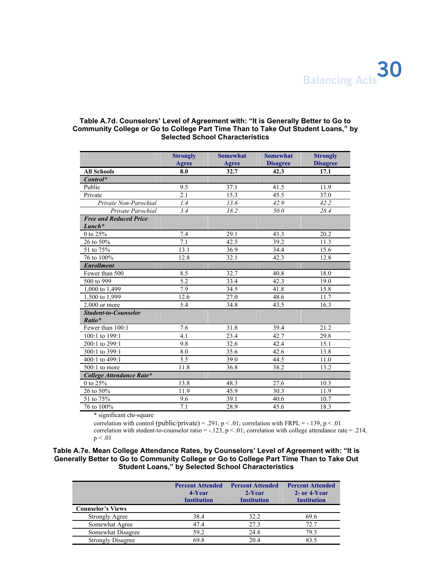### **Table A.7d. Counselors' Level of Agreement with: "It is Generally Better to Go to Community College or Go to College Part Time Than to Take Out Student Loans," by Selected School Characteristics**

|                                           | <b>Strongly</b><br>Agree | <b>Somewhat</b><br>Agree | <b>Somewhat</b><br><b>Disagree</b> | <b>Strongly</b><br><b>Disagree</b> |
|-------------------------------------------|--------------------------|--------------------------|------------------------------------|------------------------------------|
| <b>All Schools</b>                        | 8.0                      | 32.7                     | 42.3                               | 17.1                               |
| $Control^*$                               |                          |                          |                                    |                                    |
| Public                                    | 9.5                      | 37.1                     | 41.5                               | 11.9                               |
| Private                                   | 2.1                      | 15.3                     | 45.5                               | 37.0                               |
| Private Non-Parochial                     | 1.4                      | 13.6                     | 42.9                               | 42.2                               |
| Private Parochial                         | 3.4                      | 18.2                     | 50.0                               | 28.4                               |
| <b>Free and Reduced Price</b><br>$Lunch*$ |                          |                          |                                    |                                    |
| 0 to 25%                                  | 7.4                      | 29.1                     | 43.3                               | 20.2                               |
| 26 to 50%                                 | 7.1                      | 42.5                     | 39.2                               | 11.3                               |
| 51 to 75%                                 | 13.1                     | 36.9                     | 34.4                               | 15.6                               |
| 76 to 100%                                | 12.8                     | 32.1                     | 42.3                               | 12.8                               |
| <b>Enrollment</b>                         |                          |                          |                                    |                                    |
| Fewer than 500                            | 8.5                      | 32.7                     | 40.8                               | 18.0                               |
| 500 to 999                                | 5.2                      | 33.4                     | 42.3                               | 19.0                               |
| 1,000 to 1,499                            | 7.9                      | 34.5                     | 41.8                               | 15.8                               |
| 1,500 to 1,999                            | 12.6                     | 27.0                     | 48.6                               | 11.7                               |
| $2.000$ or more                           | 5.4                      | 34.8                     | 43.5                               | 16.3                               |
| <b>Student-to-Counselor</b><br>Ratio*     |                          |                          |                                    |                                    |
| Fewer than 100:1                          | 7.6                      | 31.8                     | 39.4                               | 21.2                               |
| 100:1 to 199:1                            | 4.1                      | 23.4                     | 42.7                               | 29.8                               |
| 200:1 to 299:1                            | 9.8                      | 32.6                     | 42.4                               | 15.1                               |
| 300:1 to 399:1                            | 8.0                      | 35.6                     | 42.6                               | 13.8                               |
| 400:1 to 499:1                            | 5.5                      | 39.0                     | 44.5                               | 11.0                               |
| $500:1$ to more                           | 11.8                     | 36.8                     | 38.2                               | 13.2                               |
| College Attendance Rate*                  |                          |                          |                                    |                                    |
| $0$ to $25\%$                             | 13.8                     | 48.3                     | 27.6                               | 10.3                               |
| 26 to 50%                                 | 11.9                     | 45.9                     | 30.3                               | 11.9                               |
| 51 to 75%                                 | 9.6                      | 39.1                     | 40.6                               | 10.7                               |
| 76 to 100%                                | $\overline{7.1}$         | 28.9                     | 45.6                               | 18.3                               |

\* significant chi-square

correlation with control (public/private) = .291, p < .01; correlation with FRPL = -.139, p < .01 correlation with student-to-counselor ratio = -.123,  $p < .01$ ; correlation with college attendance rate = .214,  $p < .01$ 

### **Table A.7e. Mean College Attendance Rates, by Counselors' Level of Agreement with: "It is Generally Better to Go to Community College or Go to College Part Time Than to Take Out Student Loans," by Selected School Characteristics**

|                          | <b>Percent Attended</b><br>4-Year<br><b>Institution</b> | <b>Percent Attended</b><br>$2-Year$<br><b>Institution</b> | <b>Percent Attended</b><br>2- or 4-Year<br><b>Institution</b> |
|--------------------------|---------------------------------------------------------|-----------------------------------------------------------|---------------------------------------------------------------|
| <b>Counselor's Views</b> |                                                         |                                                           |                                                               |
| <b>Strongly Agree</b>    | 38.4                                                    | 32.2                                                      | 69.6                                                          |
| Somewhat Agree           | 47.4                                                    | 27.3                                                      | 72.7                                                          |
| Somewhat Disagree        | 59.2                                                    | 24.8                                                      | 79.3                                                          |
| <b>Strongly Disagree</b> | 69.8                                                    | 20.4                                                      | 83.5                                                          |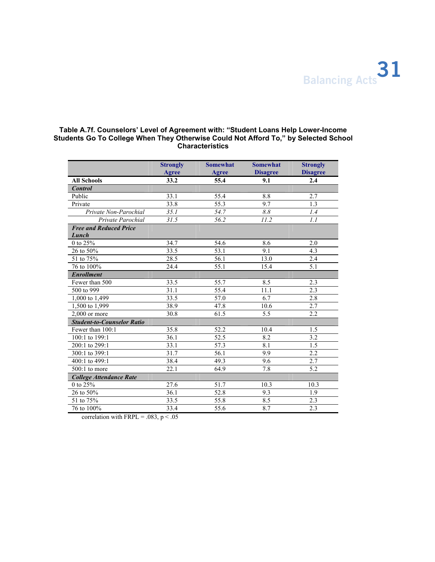

### **Table A.7f. Counselors' Level of Agreement with: "Student Loans Help Lower-Income Students Go To College When They Otherwise Could Not Afford To," by Selected School Characteristics**

|                                        | <b>Strongly</b><br>Agree | <b>Somewhat</b><br>Agree | <b>Somewhat</b><br><b>Disagree</b> | <b>Strongly</b><br><b>Disagree</b> |
|----------------------------------------|--------------------------|--------------------------|------------------------------------|------------------------------------|
| <b>All Schools</b>                     | 33.2                     | 55.4                     | 9.1                                | 2.4                                |
| <b>Control</b>                         |                          |                          |                                    |                                    |
| Public                                 | 33.1                     | 55.4                     | 8.8                                | 2.7                                |
| Private                                | 33.8                     | 55.3                     | 9.7                                | 1.3                                |
| Private Non-Parochial                  | 35.1                     | 54.7                     | 8.8                                | 1.4                                |
| Private Parochial                      | 31.5                     | 56.2                     | 11.2                               | 1.1                                |
| <b>Free and Reduced Price</b><br>Lunch |                          |                          |                                    |                                    |
| 0 to 25%                               | 34.7                     | 54.6                     | 8.6                                | 2.0                                |
| 26 to 50%                              | 33.5                     | 53.1                     | 9.1                                | 4.3                                |
| 51 to 75%                              | 28.5                     | 56.1                     | 13.0                               | 2.4                                |
| 76 to 100%                             | 24.4                     | 55.1                     | 15.4                               | 5.1                                |
| <b>Enrollment</b>                      |                          |                          |                                    |                                    |
| Fewer than 500                         | 33.5                     | 55.7                     | 8.5                                | 2.3                                |
| 500 to 999                             | 31.1                     | 55.4                     | 11.1                               | 2.3                                |
| 1,000 to 1,499                         | 33.5                     | 57.0                     | 6.7                                | 2.8                                |
| 1,500 to 1,999                         | 38.9                     | 47.8                     | 10.6                               | 2.7                                |
| $2.000$ or more                        | 30.8                     | 61.5                     | 5.5                                | 2.2                                |
| <b>Student-to-Counselor Ratio</b>      |                          |                          |                                    |                                    |
| Fewer than 100:1                       | 35.8                     | 52.2                     | 10.4                               | 1.5                                |
| 100:1 to 199:1                         | 36.1                     | 52.5                     | 8.2                                | 3.2                                |
| 200:1 to 299:1                         | 33.1                     | 57.3                     | 8.1                                | 1.5                                |
| 300:1 to 399:1                         | 31.7                     | 56.1                     | 9.9                                | 2.2                                |
| 400:1 to 499:1                         | 38.4                     | 49.3                     | 9.6                                | 2.7                                |
| $500:1$ to more                        | 22.1                     | 64.9                     | 7.8                                | 5.2                                |
| <b>College Attendance Rate</b>         |                          |                          |                                    |                                    |
| 0 to 25%                               | 27.6                     | 51.7                     | 10.3                               | 10.3                               |
| 26 to 50%                              | 36.1                     | 52.8                     | 9.3                                | 1.9                                |
| 51 to 75%                              | 33.5                     | 55.8                     | 8.5                                | 2.3                                |
| 76 to 100%                             | 33.4                     | 55.6                     | 8.7                                | 2.3                                |

correlation with FRPL = .083,  $p < .05$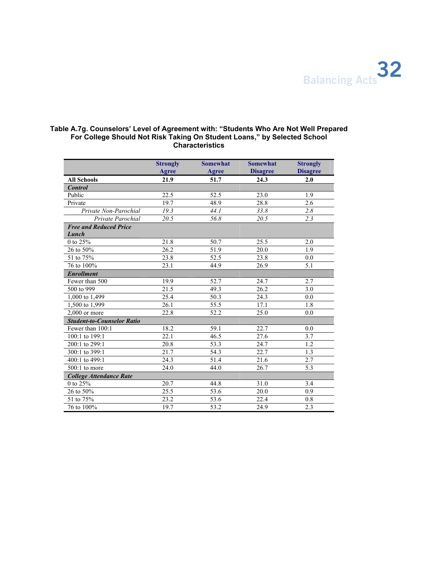

### **Table A.7g. Counselors' Level of Agreement with: "Students Who Are Not Well Prepared For College Should Not Risk Taking On Student Loans," by Selected School Characteristics**

|                                        | <b>Strongly</b><br>Agree | <b>Somewhat</b><br>Agree | <b>Somewhat</b><br><b>Disagree</b> | <b>Strongly</b><br><b>Disagree</b> |
|----------------------------------------|--------------------------|--------------------------|------------------------------------|------------------------------------|
| <b>All Schools</b>                     | 21.9                     | 51.7                     | 24.3                               | 2.0                                |
| <b>Control</b>                         |                          |                          |                                    |                                    |
| Public                                 | 22.5                     | 52.5                     | 23.0                               | 1.9                                |
| Private                                | 19.7                     | 48.9                     | 28.8                               | 2.6                                |
| Private Non-Parochial                  | 19.3                     | 44.1                     | 33.8                               | 2.8                                |
| Private Parochial                      | 20.5                     | 56.8                     | 20.5                               | 2.3                                |
| <b>Free and Reduced Price</b><br>Lunch |                          |                          |                                    |                                    |
| 0 to 25%                               | 21.8                     | 50.7                     | 25.5                               | 2.0                                |
| 26 to 50%                              | 26.2                     | 51.9                     | 20.0                               | 1.9                                |
| 51 to 75%                              | 23.8                     | 52.5                     | 23.8                               | 0.0                                |
| 76 to 100%                             | 23.1                     | 44.9                     | 26.9                               | 5.1                                |
| <b>Enrollment</b>                      |                          |                          |                                    |                                    |
| Fewer than 500                         | 19.9                     | 52.7                     | 24.7                               | 2.7                                |
| 500 to 999                             | 21.5                     | 49.3                     | 26.2                               | 3.0                                |
| 1,000 to 1,499                         | 25.4                     | 50.3                     | 24.3                               | 0.0                                |
| 1,500 to 1,999                         | 26.1                     | 55.5                     | 17.1                               | 1.8                                |
| $2,000$ or more                        | 22.8                     | 52.2                     | 25.0                               | 0.0                                |
| <b>Student-to-Counselor Ratio</b>      |                          |                          |                                    |                                    |
| Fewer than 100:1                       | 18.2                     | 59.1                     | 22.7                               | 0.0                                |
| 100:1 to 199:1                         | 22.1                     | 46.5                     | 27.6                               | 3.7                                |
| 200:1 to 299:1                         | 20.8                     | 53.3                     | 24.7                               | 1.2                                |
| 300:1 to 399:1                         | 21.7                     | 54.3                     | 22.7                               | 1.3                                |
| 400:1 to 499:1                         | 24.3                     | 51.4                     | 21.6                               | 2.7                                |
| $500:1$ to more                        | 24.0                     | 44.0                     | 26.7                               | 5.3                                |
| <b>College Attendance Rate</b>         |                          |                          |                                    |                                    |
| 0 to 25%                               | 20.7                     | 44.8                     | 31.0                               | 3.4                                |
| 26 to 50%                              | 25.5                     | 53.6                     | 20.0                               | 0.9                                |
| 51 to 75%                              | 23.2                     | 53.6                     | 22.4                               | 0.8                                |
| 76 to 100%                             | 19.7                     | 53.2                     | 24.9                               | 2.3                                |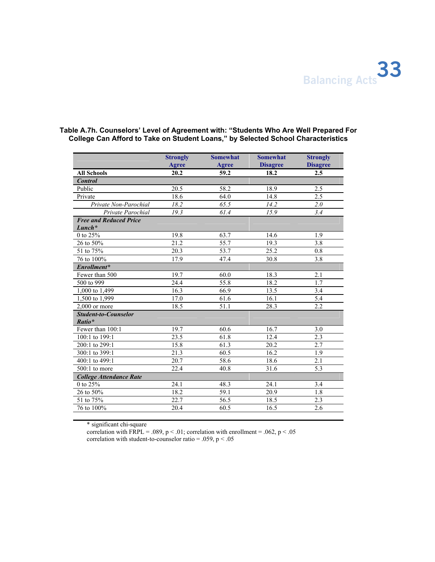

|                                           | <b>Strongly</b> | <b>Somewhat</b> | <b>Somewhat</b> | <b>Strongly</b>  |
|-------------------------------------------|-----------------|-----------------|-----------------|------------------|
|                                           | Agree           | Agree           | <b>Disagree</b> | <b>Disagree</b>  |
| <b>All Schools</b>                        | 20.2            | 59.2            | 18.2            | 2.5              |
| <b>Control</b>                            |                 |                 |                 |                  |
| Public                                    | 20.5            | 58.2            | 18.9            | 2.5              |
| Private                                   | 18.6            | 64.0            | 14.8            | 2.5              |
| Private Non-Parochial                     | 18.2            | 65.5            | 14.2            | $\overline{2.0}$ |
| Private Parochial                         | 19.3            | 61.4            | 15.9            | 3.4              |
| <b>Free and Reduced Price</b><br>$Lunch*$ |                 |                 |                 |                  |
| 0 to 25%                                  | 19.8            | 63.7            | 14.6            | 1.9              |
| 26 to 50%                                 | 21.2            | 55.7            | 19.3            | 3.8              |
| 51 to 75%                                 | 20.3            | 53.7            | 25.2            | 0.8              |
| 76 to 100%                                | 17.9            | 47.4            | 30.8            | 3.8              |
| Enrollment*                               |                 |                 |                 |                  |
| Fewer than 500                            | 19.7            | 60.0            | 18.3            | 2.1              |
| 500 to 999                                | 24.4            | 55.8            | 18.2            | 1.7              |
| 1,000 to 1,499                            | 16.3            | 66.9            | 13.5            | 3.4              |
| 1,500 to 1,999                            | 17.0            | 61.6            | 16.1            | 5.4              |
| $2.000$ or more                           | 18.5            | 51.1            | 28.3            | 2.2              |
| <b>Student-to-Counselor</b><br>Ratio*     |                 |                 |                 |                  |
| Fewer than 100:1                          | 19.7            | 60.6            | 16.7            | 3.0              |
| 100:1 to 199:1                            | 23.5            | 61.8            | 12.4            | 2.3              |
| 200:1 to 299:1                            | 15.8            | 61.3            | 20.2            | 2.7              |
| 300:1 to 399:1                            | 21.3            | 60.5            | 16.2            | 1.9              |
| 400:1 to 499:1                            | 20.7            | 58.6            | 18.6            | 2.1              |
| $500:1$ to more                           | 22.4            | 40.8            | 31.6            | 5.3              |
| <b>College Attendance Rate</b>            |                 |                 |                 |                  |
| $0$ to $25\%$                             | 24.1            | 48.3            | 24.1            | 3.4              |
| 26 to 50%                                 | 18.2            | 59.1            | 20.9            | 1.8              |
| 51 to 75%                                 | 22.7            | 56.5            | 18.5            | 2.3              |
| 76 to 100%                                | 20.4            | 60.5            | 16.5            | 2.6              |

### **Table A.7h. Counselors' Level of Agreement with: "Students Who Are Well Prepared For College Can Afford to Take on Student Loans," by Selected School Characteristics**

\* significant chi-square

correlation with FRPL = .089, p < .01; correlation with enrollment = .062, p < .05 correlation with student-to-counselor ratio = .059,  $p < .05$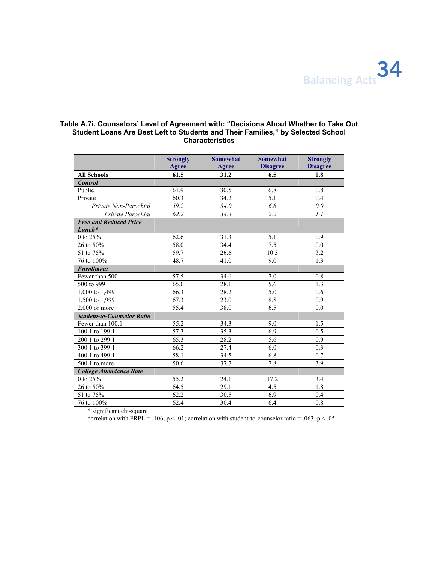

### **Table A.7i. Counselors' Level of Agreement with: "Decisions About Whether to Take Out Student Loans Are Best Left to Students and Their Families," by Selected School Characteristics**

|                                           | <b>Strongly</b><br>Agree | <b>Somewhat</b><br>Agree | <b>Somewhat</b><br><b>Disagree</b> | <b>Strongly</b><br><b>Disagree</b> |
|-------------------------------------------|--------------------------|--------------------------|------------------------------------|------------------------------------|
| <b>All Schools</b>                        | 61.5                     | 31.2                     | 6.5                                | 0.8                                |
| <b>Control</b>                            |                          |                          |                                    |                                    |
| Public                                    | 61.9                     | 30.5                     | 6.8                                | 0.8                                |
| Private                                   | 60.3                     | 34.2                     | 5.1                                | 0.4                                |
| Private Non-Parochial                     | 59.2                     | 34.0                     | 6.8                                | 0.0                                |
| Private Parochial                         | 62.2                     | 34.4                     | 2.2                                | 1.1                                |
| <b>Free and Reduced Price</b><br>$Lunch*$ |                          |                          |                                    |                                    |
| 0 to 25%                                  | 62.6                     | 31.3                     | 5.1                                | 0.9                                |
| 26 to 50%                                 | 58.0                     | 34.4                     | 7.5                                | 0.0                                |
| 51 to 75%                                 | 59.7                     | 26.6                     | 10.5                               | 3.2                                |
| 76 to 100%                                | 48.7                     | 41.0                     | 9.0                                | 1.3                                |
| <b>Enrollment</b>                         |                          |                          |                                    |                                    |
| Fewer than 500                            | 57.5                     | 34.6                     | 7.0                                | 0.8                                |
| 500 to 999                                | 65.0                     | 28.1                     | 5.6                                | 1.3                                |
| 1,000 to 1,499                            | 66.3                     | 28.2                     | 5.0                                | 0.6                                |
| 1,500 to 1,999                            | 67.3                     | 23.0                     | 8.8                                | 0.9                                |
| $2.000$ or more                           | 55.4                     | 38.0                     | 6.5                                | 0.0                                |
| <b>Student-to-Counselor Ratio</b>         |                          |                          |                                    |                                    |
| Fewer than 100:1                          | 55.2                     | 34.3                     | 9.0                                | 1.5                                |
| 100:1 to 199:1                            | 57.3                     | 35.3                     | 6.9                                | 0.5                                |
| 200:1 to 299:1                            | 65.3                     | 28.2                     | 5.6                                | 0.9                                |
| 300:1 to 399:1                            | 66.2                     | 27.4                     | 6.0                                | 0.3                                |
| 400:1 to 499:1                            | 58.1                     | 34.5                     | 6.8                                | 0.7                                |
| 500:1 to more                             | 50.6                     | 37.7                     | 7.8                                | 3.9                                |
| <b>College Attendance Rate</b>            |                          |                          |                                    |                                    |
| 0 to 25%                                  | 55.2                     | 24.1                     | 17.2                               | 3.4                                |
| 26 to 50%                                 | 64.5                     | 29.1                     | 4.5                                | 1.8                                |
| 51 to 75%                                 | 62.2                     | 30.5                     | 6.9                                | 0.4                                |
| 76 to 100%                                | 62.4                     | 30.4                     | 6.4                                | 0.8                                |

\* significant chi-square

correlation with FRPL = .106,  $p < .01$ ; correlation with student-to-counselor ratio = .063,  $p < .05$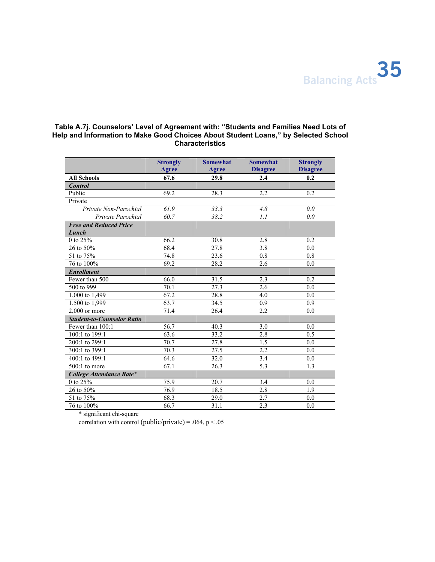

### **Table A.7j. Counselors' Level of Agreement with: "Students and Families Need Lots of Help and Information to Make Good Choices About Student Loans," by Selected School Characteristics**

|                                   | <b>Strongly</b><br>Agree | <b>Somewhat</b><br>Agree | <b>Somewhat</b><br><b>Disagree</b> | <b>Strongly</b><br><b>Disagree</b> |
|-----------------------------------|--------------------------|--------------------------|------------------------------------|------------------------------------|
| <b>All Schools</b>                | 67.6                     | 29.8                     | 2.4                                | 0.2                                |
| <b>Control</b>                    |                          |                          |                                    |                                    |
| Public                            | 69.2                     | 28.3                     | 2.2                                | 0.2                                |
| Private                           |                          |                          |                                    |                                    |
| Private Non-Parochial             | 61.9                     | 33.3                     | 4.8                                | 0.0                                |
| Private Parochial                 | 60.7                     | 38.2                     | 1.1                                | 0.0                                |
| <b>Free and Reduced Price</b>     |                          |                          |                                    |                                    |
| Lunch                             |                          |                          |                                    |                                    |
| 0 to 25%                          | 66.2                     | 30.8                     | 2.8                                | 0.2                                |
| 26 to 50%                         | 68.4                     | 27.8                     | 3.8                                | 0.0                                |
| 51 to 75%                         | 74.8                     | 23.6                     | 0.8                                | 0.8                                |
| 76 to 100%                        | 69.2                     | 28.2                     | 2.6                                | 0.0                                |
| <b>Enrollment</b>                 |                          |                          |                                    |                                    |
| Fewer than 500                    | 66.0                     | 31.5                     | 2.3                                | 0.2                                |
| 500 to 999                        | 70.1                     | 27.3                     | 2.6                                | 0.0                                |
| 1,000 to 1,499                    | 67.2                     | 28.8                     | 4.0                                | 0.0                                |
| 1,500 to 1,999                    | 63.7                     | 34.5                     | 0.9                                | 0.9                                |
| $2.000$ or more                   | 71.4                     | 26.4                     | 2.2                                | 0.0                                |
| <b>Student-to-Counselor Ratio</b> |                          |                          |                                    |                                    |
| Fewer than 100:1                  | 56.7                     | 40.3                     | 3.0                                | 0.0                                |
| 100:1 to 199:1                    | 63.6                     | 33.2                     | 2.8                                | 0.5                                |
| 200:1 to 299:1                    | 70.7                     | 27.8                     | 1.5                                | 0.0                                |
| 300:1 to 399:1                    | 70.3                     | 27.5                     | 2.2                                | 0.0                                |
| 400:1 to 499:1                    | 64.6                     | 32.0                     | 3.4                                | 0.0                                |
| $500:1$ to more                   | 67.1                     | 26.3                     | 5.3                                | $\overline{1.3}$                   |
| College Attendance Rate*          |                          |                          |                                    |                                    |
| 0 to 25%                          | 75.9                     | 20.7                     | 3.4                                | 0.0                                |
| 26 to 50%                         | 76.9                     | 18.5                     | 2.8                                | 1.9                                |
| 51 to 75%                         | 68.3                     | 29.0                     | 2.7                                | 0.0                                |
| 76 to 100%                        | 66.7                     | 31.1                     | 2.3                                | 0.0                                |

\* significant chi-square

correlation with control (public/private) = .064,  $p < .05$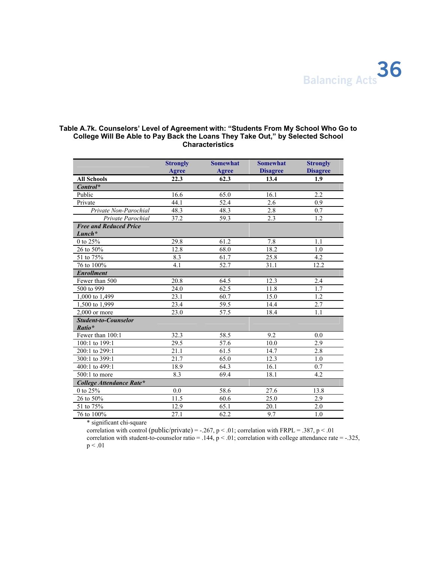

### **Table A.7k. Counselors' Level of Agreement with: "Students From My School Who Go to College Will Be Able to Pay Back the Loans They Take Out," by Selected School Characteristics**

|                                           | <b>Strongly</b><br>Agree | <b>Somewhat</b><br>Agree | <b>Somewhat</b><br><b>Disagree</b> | <b>Strongly</b><br><b>Disagree</b> |
|-------------------------------------------|--------------------------|--------------------------|------------------------------------|------------------------------------|
| <b>All Schools</b>                        | 22.3                     | 62.3                     | 13.4                               | 1.9                                |
| $Control^*$                               |                          |                          |                                    |                                    |
| Public                                    | 16.6                     | 65.0                     | 16.1                               | 2.2                                |
| Private                                   | 44.1                     | 52.4                     | 2.6                                | 0.9                                |
| Private Non-Parochial                     | 48.3                     | 48.3                     | 2.8                                | 0.7                                |
| Private Parochial                         | 37.2                     | 59.3                     | 2.3                                | $\overline{1.2}$                   |
| <b>Free and Reduced Price</b><br>$Lunch*$ |                          |                          |                                    |                                    |
| 0 to $25\%$                               | 29.8                     | 61.2                     | 7.8                                | 1.1                                |
| 26 to 50%                                 | 12.8                     | 68.0                     | 18.2                               | 1.0                                |
| 51 to 75%                                 | 8.3                      | 61.7                     | 25.8                               | 4.2                                |
| 76 to 100%                                | 4.1                      | 52.7                     | 31.1                               | 12.2                               |
| <b>Enrollment</b>                         |                          |                          |                                    |                                    |
| Fewer than 500                            | 20.8                     | 64.5                     | 12.3                               | 2.4                                |
| 500 to 999                                | 24.0                     | 62.5                     | 11.8                               | 1.7                                |
| 1,000 to 1,499                            | 23.1                     | 60.7                     | 15.0                               | 1.2                                |
| 1,500 to 1,999                            | 23.4                     | 59.5                     | 14.4                               | 2.7                                |
| $2.000$ or more                           | 23.0                     | 57.5                     | 18.4                               | 1.1                                |
| <b>Student-to-Counselor</b><br>Ratio*     |                          |                          |                                    |                                    |
| Fewer than $100:1$                        | 32.3                     | 58.5                     | 9.2                                | 0.0                                |
| 100:1 to 199:1                            | 29.5                     | 57.6                     | 10.0                               | 2.9                                |
| 200:1 to 299:1                            | 21.1                     | 61.5                     | 14.7                               | 2.8                                |
| 300:1 to 399:1                            | 21.7                     | 65.0                     | 12.3                               | 1.0                                |
| 400:1 to 499:1                            | 18.9                     | 64.3                     | 16.1                               | 0.7                                |
| $500:1$ to more                           | 8.3                      | 69.4                     | 18.1                               | 4.2                                |
| College Attendance Rate*                  |                          |                          |                                    |                                    |
| 0 to 25%                                  | 0.0                      | 58.6                     | 27.6                               | 13.8                               |
| 26 to 50%                                 | 11.5                     | 60.6                     | 25.0                               | 2.9                                |
| 51 to 75%                                 | 12.9                     | 65.1                     | 20.1                               | 2.0                                |
| 76 to 100%                                | 27.1                     | 62.2                     | 9.7                                | 1.0                                |

\* significant chi-square

correlation with control (public/private) = -.267, p < .01; correlation with FRPL = .387, p < .01 correlation with student-to-counselor ratio = .144,  $p < .01$ ; correlation with college attendance rate =  $-.325$ ,  $p < .01$